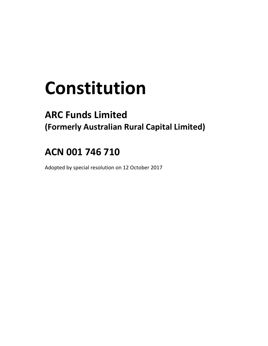# **Constitution**

# **ARC Funds Limited (Formerly Australian Rural Capital Limited)**

# **ACN 001 746 710**

Adopted by special resolution on 12 October 2017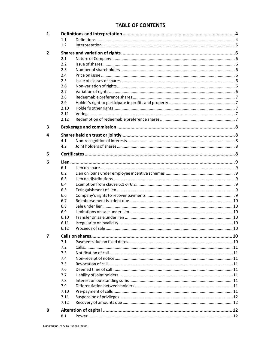# **TABLE OF CONTENTS**

| 1              |      |  |
|----------------|------|--|
|                | 1.1  |  |
|                | 1.2  |  |
| $\overline{2}$ |      |  |
|                | 2.1  |  |
|                | 2.2  |  |
|                | 2.3  |  |
|                | 2.4  |  |
|                | 2.5  |  |
|                | 2.6  |  |
|                | 2.7  |  |
|                | 2.8  |  |
|                | 2.9  |  |
|                | 2.10 |  |
|                | 2.11 |  |
|                | 2.12 |  |
| 3              |      |  |
| 4              |      |  |
|                | 4.1  |  |
|                | 4.2  |  |
|                |      |  |
| 5              |      |  |
| 6              |      |  |
|                | 6.1  |  |
|                | 6.2  |  |
|                | 6.3  |  |
|                | 6.4  |  |
|                | 6.5  |  |
|                | 6.6  |  |
|                | 6.7  |  |
|                | 6.8  |  |
|                | 6.9  |  |
|                | 6.10 |  |
|                | 6.11 |  |
|                | 6.12 |  |
| 7              |      |  |
|                | 7.1  |  |
|                | 7.2  |  |
|                | 7.3  |  |
|                | 7.4  |  |
|                | 7.5  |  |
|                | 7.6  |  |
|                | 7.7  |  |
|                | 7.8  |  |
|                | 7.9  |  |
|                | 7.10 |  |
|                | 7.11 |  |
|                | 7.12 |  |
| 8              |      |  |
|                | 8.1  |  |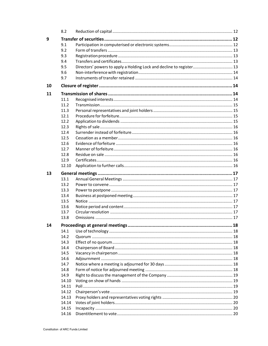|    | 8.2          |                                                                      |    |
|----|--------------|----------------------------------------------------------------------|----|
| 9  |              |                                                                      |    |
|    | 9.1          |                                                                      |    |
|    | 9.2          |                                                                      |    |
|    | 9.3          |                                                                      |    |
|    | 9.4          |                                                                      |    |
|    | 9.5          | Directors' powers to apply a Holding Lock and decline to register 13 |    |
|    | 9.6          |                                                                      |    |
|    | 9.7          |                                                                      |    |
| 10 |              |                                                                      |    |
| 11 |              |                                                                      |    |
|    | 11.1         |                                                                      |    |
|    | 11.2         |                                                                      |    |
|    | 11.3         |                                                                      |    |
|    | 12.1         |                                                                      |    |
|    | 12.2         |                                                                      |    |
|    | 12.3         |                                                                      |    |
|    |              |                                                                      |    |
|    | 12.4<br>12.5 |                                                                      |    |
|    |              |                                                                      |    |
|    | 12.6         |                                                                      |    |
|    | 12.7         |                                                                      |    |
|    | 12.8         |                                                                      |    |
|    | 12.9         |                                                                      |    |
|    | 12.10        |                                                                      |    |
| 13 |              |                                                                      |    |
|    | 13.1         |                                                                      |    |
|    | 13.2         |                                                                      |    |
|    | 13.3         |                                                                      |    |
|    | 13.4         |                                                                      |    |
|    | 13.5         |                                                                      |    |
|    | 13.6         |                                                                      |    |
|    | 13.7         |                                                                      |    |
|    | 13.8         |                                                                      |    |
| 14 |              | Proceedings at general meetings                                      | 18 |
|    | 14.1         |                                                                      |    |
|    | 14.2         |                                                                      |    |
|    | 14.3         |                                                                      |    |
|    | 14.4         |                                                                      |    |
|    | 14.5         |                                                                      |    |
|    | 14.6         |                                                                      |    |
|    | 14.7         |                                                                      |    |
|    | 14.8         |                                                                      |    |
|    | 14.9         |                                                                      |    |
|    | 14.10        |                                                                      |    |
|    | 14.11        |                                                                      |    |
|    | 14.12        |                                                                      |    |
|    | 14.13        |                                                                      |    |
|    | 14.14        |                                                                      |    |
|    | 14.15        |                                                                      |    |
|    | 14.16        |                                                                      |    |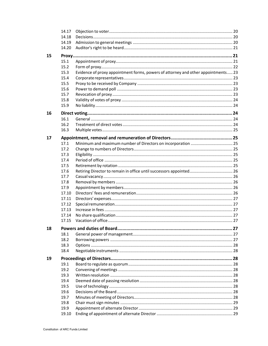|    | 14.17 |                                                                                   |  |
|----|-------|-----------------------------------------------------------------------------------|--|
|    | 14.18 |                                                                                   |  |
|    | 14.19 |                                                                                   |  |
|    | 14.20 |                                                                                   |  |
| 15 |       |                                                                                   |  |
|    | 15.1  |                                                                                   |  |
|    | 15.2  |                                                                                   |  |
|    | 15.3  | Evidence of proxy appointment forms, powers of attorney and other appointments 23 |  |
|    | 15.4  |                                                                                   |  |
|    | 15.5  |                                                                                   |  |
|    | 15.6  |                                                                                   |  |
|    | 15.7  |                                                                                   |  |
|    | 15.8  |                                                                                   |  |
|    | 15.9  |                                                                                   |  |
|    |       |                                                                                   |  |
| 16 |       |                                                                                   |  |
|    | 16.1  |                                                                                   |  |
|    | 16.2  |                                                                                   |  |
|    | 16.3  |                                                                                   |  |
| 17 |       |                                                                                   |  |
|    | 17.1  |                                                                                   |  |
|    | 17.2  |                                                                                   |  |
|    | 17.3  |                                                                                   |  |
|    | 17.4  |                                                                                   |  |
|    | 17.5  |                                                                                   |  |
|    | 17.6  |                                                                                   |  |
|    | 17.7  |                                                                                   |  |
|    | 17.8  |                                                                                   |  |
|    | 17.9  |                                                                                   |  |
|    | 17.10 |                                                                                   |  |
|    | 17.11 |                                                                                   |  |
|    | 17.12 |                                                                                   |  |
|    | 17.13 |                                                                                   |  |
|    | 17.14 |                                                                                   |  |
|    | 17.15 |                                                                                   |  |
| 18 |       |                                                                                   |  |
|    | 18.1  |                                                                                   |  |
|    | 18.2  |                                                                                   |  |
|    | 18.3  |                                                                                   |  |
|    | 18.4  |                                                                                   |  |
|    |       |                                                                                   |  |
| 19 |       |                                                                                   |  |
|    | 19.1  |                                                                                   |  |
|    | 19.2  |                                                                                   |  |
|    | 19.3  |                                                                                   |  |
|    | 19.4  |                                                                                   |  |
|    | 19.5  |                                                                                   |  |
|    | 19.6  |                                                                                   |  |
|    | 19.7  |                                                                                   |  |
|    | 19.8  |                                                                                   |  |
|    | 19.9  |                                                                                   |  |
|    | 19.10 |                                                                                   |  |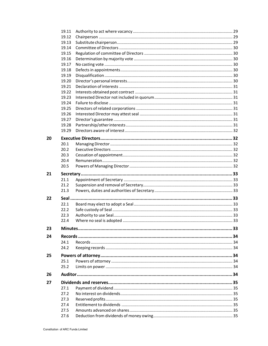|    | 19.11        |  |
|----|--------------|--|
|    | 19.12        |  |
|    | 19.13        |  |
|    | 19.14        |  |
|    | 19.15        |  |
|    | 19.16        |  |
|    | 19.17        |  |
|    | 19.18        |  |
|    | 19.19        |  |
|    | 19.20        |  |
|    | 19.21        |  |
|    | 19.22        |  |
|    | 19.23        |  |
|    | 19.24        |  |
|    | 19.25        |  |
|    | 19.26        |  |
|    |              |  |
|    | 19.27        |  |
|    | 19.28        |  |
|    | 19.29        |  |
| 20 |              |  |
|    | 20.1         |  |
|    | 20.2         |  |
|    | 20.3         |  |
|    | 20.4         |  |
|    | 20.5         |  |
|    |              |  |
| 21 |              |  |
|    | 21.1         |  |
|    | 21.2         |  |
|    | 21.3         |  |
| 22 |              |  |
|    | 22.1         |  |
|    | 22.2         |  |
|    | 22.3         |  |
|    | 22.4         |  |
|    |              |  |
| 23 |              |  |
|    |              |  |
| 24 |              |  |
|    | 24.1         |  |
|    | 24.2         |  |
|    |              |  |
| 25 |              |  |
|    | 25.1         |  |
|    | 25.2         |  |
| 26 |              |  |
|    |              |  |
| 27 | 27.1         |  |
|    |              |  |
|    | 27.2         |  |
|    | 27.3         |  |
|    | 27.4         |  |
|    | 27.5<br>27.6 |  |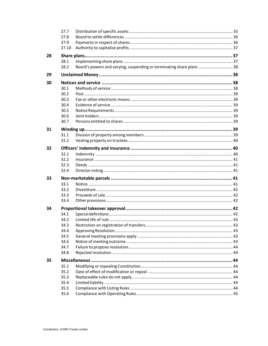|    | 27.7         |                                                                       |  |
|----|--------------|-----------------------------------------------------------------------|--|
|    | 27.8         |                                                                       |  |
|    | 27.9         |                                                                       |  |
|    | 27.10        |                                                                       |  |
| 28 |              |                                                                       |  |
|    | 28.1         |                                                                       |  |
|    | 28.2         | Board's powers and varying, suspending or terminating share plans  38 |  |
| 29 |              |                                                                       |  |
|    |              |                                                                       |  |
| 30 |              |                                                                       |  |
|    | 30.1         |                                                                       |  |
|    | 30.2<br>30.3 |                                                                       |  |
|    | 30.4         |                                                                       |  |
|    | 30.5         |                                                                       |  |
|    | 30.6         |                                                                       |  |
|    | 30.7         |                                                                       |  |
|    |              |                                                                       |  |
| 31 |              |                                                                       |  |
|    | 31.1         |                                                                       |  |
|    | 31.2         |                                                                       |  |
| 32 |              |                                                                       |  |
|    | 32.1         |                                                                       |  |
|    | 32.2         |                                                                       |  |
|    | 32.3         |                                                                       |  |
|    | 32.4         |                                                                       |  |
|    |              |                                                                       |  |
| 33 |              |                                                                       |  |
|    | 33.1         |                                                                       |  |
|    | 33.2         |                                                                       |  |
|    | 33.3         |                                                                       |  |
|    | 33.4         |                                                                       |  |
| 34 |              |                                                                       |  |
|    | 34.1         |                                                                       |  |
|    | 34.2         |                                                                       |  |
|    | 34.3         |                                                                       |  |
|    | 34.4         |                                                                       |  |
|    | 34.5         |                                                                       |  |
|    | 34.6         |                                                                       |  |
|    | 34.7         |                                                                       |  |
|    | 34.8         |                                                                       |  |
| 35 |              |                                                                       |  |
|    | 35.1         |                                                                       |  |
|    | 35.2         |                                                                       |  |
|    | 35.3         |                                                                       |  |
|    | 35.4         |                                                                       |  |
|    | 35.5         |                                                                       |  |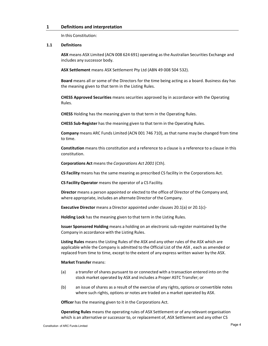# **1 Definitions and interpretation**

In this Constitution:

#### **1.1 Definitions**

**ASX** means ASX Limited (ACN 008 624 691) operating as the Australian Securities Exchange and includes any successor body.

**ASX Settlement** means ASX Settlement Pty Ltd (ABN 49 008 504 532).

**Board** means all or some of the Directors for the time being acting as a board. Business day has the meaning given to that term in the Listing Rules.

**CHESS Approved Securities** means securities approved by in accordance with the Operating Rules.

**CHESS** Holding has the meaning given to that term in the Operating Rules.

**CHESS Sub‐Register** has the meaning given to that term in the Operating Rules.

**Company** means ARC Funds Limited (ACN 001 746 710), as that name may be changed from time to time.

**Constitution** means this constitution and a reference to a clause is a reference to a clause in this constitution.

**Corporations Act** means the *Corporations Act 2001* (Cth).

**CS Facility** means has the same meaning as prescribed CS facility in the Corporations Act.

**CS Facility Operator** means the operator of a CS Facility.

**Director** means a person appointed or elected to the office of Director of the Company and, where appropriate, includes an alternate Director of the Company.

**Executive Director** means a Director appointed under clauses 20.1(a) or 20.1(c)‐

**Holding Lock** has the meaning given to that term in the Listing Rules.

**Issuer Sponsored Holding** means a holding on an electronic sub‐register maintained by the Company in accordance with the Listing Rules.

**Listing Rules** means the Listing Rules of the ASX and any other rules of the ASX which are applicable while the Company is admitted to the Official List of the ASX , each as amended or replaced from time to time, except to the extent of any express written waiver by the ASX.

#### **Market Transfer** means:

- (a) a transfer of shares pursuant to or connected with a transaction entered into on the stock market operated by ASX and includes a Proper ASTC Transfer; or
- (b) an issue of shares as a result of the exercise of any rights, options or convertible notes where such rights, options or notes are traded on a market operated by ASX.

**Officer** has the meaning given to it in the Corporations Act.

**Operating Rules** means the operating rules of ASX Settlement or of any relevant organisation which is an alternative or successor to, or replacement of, ASX Settlement and any other CS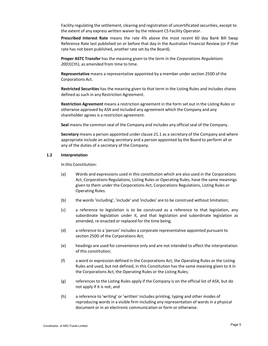Facility regulating the settlement, clearing and registration of uncertificated securities, except to the extent of any express written waiver by the relevant CS Facility Operator.

**Prescribed Interest Rate** means the rate 4% above the most recent 60 day Bank Bill Swap Reference Rate last published on or before that day in the Australian Financial Review (or if that rate has not been published, another rate set by the Board).

**Proper ASTC Transfer** has the meaning given to the term in the *Corporations Regulations* 2001(Cth), as amended from time to time.

**Representative** means a representative appointed by a member under section 250D of the Corporations Act.

**Restricted Securities** has the meaning given to that term in the Listing Rules and includes shares defined as such in any Restriction Agreement.

**Restriction Agreement** means a restriction agreement in the form set out in the Listing Rules or otherwise approved by ASX and included any agreement which the Company and any shareholder agrees is a restriction agreement.

Seal means the common seal of the Company and includes any official seal of the Company.

**Secretary** means a person appointed under clause 21.1 as a secretary of the Company and where appropriate include an acting secretary and a person appointed by the Board to perform all or any of the duties of a secretary of the Company.

#### **1.2 Interpretation**

In this Constitution:

- (a) Words and expressions used in this constitution which are also used in the Corporations Act, Corporations Regulations, Listing Rules or Operating Rules, have the same meanings given to them under the Corporations Act, Corporations Regulations, Listing Rules or Operating Rules.
- (b) the words 'including', 'include' and 'includes' are to be construed without limitation;
- (c) a reference to legislation is to be construed as a reference to that legislation, any subordinate legislation under it, and that legislation and subordinate legislation as amended, re-enacted or replaced for the time being;
- (d) a reference to a 'person' includes a corporate representative appointed pursuant to section 250D of the Corporations Act;
- (e) headings are used for convenience only and are not intended to affect the interpretation of this constitution;
- (f) a word or expression defined in the Corporations Act, the Operating Rules or the Listing Rules and used, but not defined, in this Constitution has the same meaning given to it in the Corporations Act, the Operating Rules or the Listing Rules;
- (g) references to the Listing Rules apply if the Company is on the official list of ASX, but do not apply if it is not; and
- (h) a reference to 'writing' or 'written' includes printing, typing and other modes of reproducing words in a visible firm including any representation of words in a physical document or in an electronic communication or form or otherwise.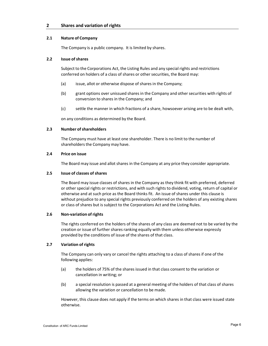# **2.1 Nature of Company**

The Company is a public company. It is limited by shares.

# **2.2 Issue of shares**

Subject to the Corporations Act, the Listing Rules and any special rights and restrictions conferred on holders of a class of shares or other securities, the Board may:

- (a) issue, allot or otherwise dispose of shares in the Company;
- (b) grant options over unissued shares in the Company and other securities with rights of conversion to shares in the Company; and
- (c) settle the manner in which fractions of a share, howsoever arising are to be dealt with,

on any conditions as determined by the Board.

# **2.3 Number ofshareholders**

The Company must have at least one shareholder. There is no limit to the number of shareholders the Company may have.

# **2.4 Price on issue**

The Board may issue and allot shares in the Company at any price they consider appropriate.

# **2.5 Issue of classes of shares**

The Board may issue classes of shares in the Company as they think fit with preferred, deferred or other special rights or restrictions, and with such rights to dividend, voting, return of capital or otherwise and at such price as the Board thinks fit. An issue of shares under this clause is without prejudice to any special rights previously conferred on the holders of any existing shares or class of shares but is subject to the Corporations Act and the Listing Rules.

# **2.6 Non‐variation of rights**

The rights conferred on the holders of the shares of any class are deemed not to be varied by the creation or issue of further shares ranking equally with them unless otherwise expressly provided by the conditions of issue of the shares of that class.

# **2.7 Variation of rights**

The Company can only vary or cancel the rights attaching to a class of shares if one of the following applies:

- (a) the holders of 75% of the shares issued in that class consent to the variation or cancellation in writing; or
- (b) a special resolution is passed at a general meeting of the holders of that class of shares allowing the variation or cancellation to be made.

However, this clause does not apply if the terms on which shares in that class were issued state otherwise.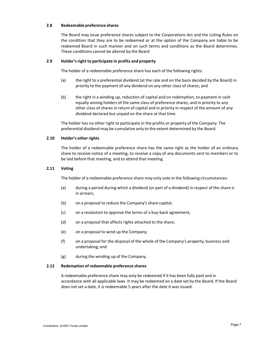# **2.8 Redeemable preference shares**

The Board may issue preference shares subject to the Corporations Act and the Listing Rules on the condition that they are to be redeemed or at the option of the Company are liable to be redeemed Board in such manner and on such terms and conditions as the Board determines. These conditions cannot be altered by the Board

#### **2.9 Holder'sright to participate in profits and property**

The holder of a redeemable preference share has each of the following rights:

- (a) the right to a preferential dividend (at the rate and on the basis decided by the Board) in priority to the payment of any dividend on any other class of shares; and
- (b) the right in a winding up, reduction of capital and on redemption, to payment in cash equally among holders of the same class of preference shares, and in priority to any other class of shares in return of capital and in priority in respect of the amount of any dividend declared but unpaid on the share at that time.

The holder has no other right to participate in the profits or property of the Company. The preferential dividend may be cumulative only to the extent determined by the Board.

#### **2.10 Holder's other rights**

The holder of a redeemable preference share has the same right as the holder of an ordinary share to receive notice of a meeting, to receive a copy of any documents sent to members or to be laid before that meeting, and to attend that meeting.

#### **2.11 Voting**

The holder of a redeemable preference share may only vote in the following circumstances:

- (a) during a period during which a dividend (or part of a dividend) in respect of the share is in arrears;
- (b) on a proposal to reduce the Company's share capital;
- (c) on a resolution to approve the terms of a buy‐back agreement;
- (d) on a proposal that affects rights attached to the share;
- (e) on a proposal to wind up the Company;
- (f) on a proposal for the disposal of the whole of the Company's property, business and undertaking; and
- (g) during the winding up of the Company.

#### **2.12 Redemption of redeemable preference shares**

A redeemable preference share may only be redeemed if it has been fully paid and in accordance with all applicable laws. It may be redeemed on a date set by the Board. If the Board does not set a date, it is redeemable 5 years after the date it was issued.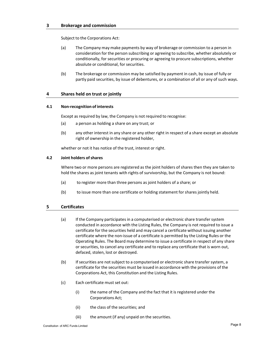# **3 Brokerage and commission**

Subject to the Corporations Act:

- (a) The Company may make payments by way of brokerage or commission to a person in consideration for the person subscribing or agreeing to subscribe, whether absolutely or conditionally, for securities or procuring or agreeing to procure subscriptions, whether absolute or conditional, for securities.
- (b) The brokerage or commission may be satisfied by payment in cash, by issue of fully or partly paid securities, by issue of debentures, or a combination of all or any of such ways.

# **4 Shares held on trust or jointly**

#### **4.1 Non‐recognition of interests**

Except as required by law, the Company is not required to recognise:

- (a) a person as holding a share on any trust; or
- (b) any other interest in any share or any other right in respect of a share except an absolute right of ownership in the registered holder,

whether or not it has notice of the trust, interest or right.

#### **4.2 Joint holders of shares**

Where two or more persons are registered as the joint holders of shares then they are taken to hold the shares as joint tenants with rights of survivorship, but the Company is not bound:

- (a) to register more than three persons as joint holders of a share; or
- (b) to issue more than one certificate or holding statement for shares jointly held.

# **5 Certificates**

- (a) If the Company participates in a computerised or electronic share transfersystem conducted in accordance with the Listing Rules, the Company is not required to issue a certificate for the securities held and may cancel a certificate without issuing another certificate where the non‐issue of a certificate is permitted by the Listing Rules or the Operating Rules. The Board may determine to issue a certificate in respect of any share or securities, to cancel any certificate and to replace any certificate that is worn out, defaced, stolen, lost or destroyed.
- (b) If securities are not subject to a computerised or electronic share transfer system, a certificate for the securities must be issued in accordance with the provisions of the Corporations Act, this Constitution and the Listing Rules.
- (c) Each certificate must set out:
	- (i) the name of the Company and the fact that it is registered under the Corporations Act;
	- (ii) the class of the securities; and
	- (iii) the amount (if any) unpaid on the securities.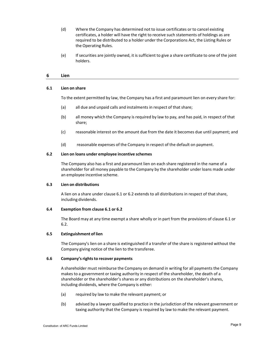- (d) Where the Company has determined not to issue certificates or to cancel existing certificates, a holder will have the right to receive such statements of holdings as are required to be distributed to a holder under the Corporations Act, the Listing Rules or the Operating Rules.
- (e) If securities are jointly owned, it is sufficient to give a share certificate to one of the joint holders.

#### **6 Lien**

#### **6.1 Lien on share**

To the extent permitted by law, the Company has a first and paramount lien on every share for:

- (a) all due and unpaid calls and instalments in respect of that share;
- (b) all money which the Company is required by law to pay, and has paid, in respect of that share;
- (c) reasonable interest on the amount due from the date it becomes due until payment; and
- (d) reasonable expenses of the Company in respect of the default on payment.

#### **6.2 Lien on loans under employee incentive schemes**

The Company also has a first and paramount lien on each share registered in the name of a shareholder for all money payable to the Company by the shareholder under loans made under an employee incentive scheme.

#### **6.3 Lien on distributions**

A lien on a share under clause 6.1 or 6.2 extends to all distributions in respect of that share, including dividends.

# **6.4 Exemption from clause 6.1 or 6.2**

The Board may at any time exempt a share wholly or in part from the provisions of clause 6.1 or 6.2.

#### **6.5 Extinguishment of lien**

The Company's lien on a share is extinguished if a transfer of the share is registered without the Company giving notice of the lien to the transferee.

#### **6.6 Company'srightsto recover payments**

A shareholder must reimburse the Company on demand in writing for all payments the Company makes to a government or taxing authority in respect of the shareholder, the death of a shareholder or the shareholder's shares or any distributions on the shareholder's shares, including dividends, where the Company is either:

- (a) required by law to make the relevant payment; or
- (b) advised by a lawyer qualified to practice in the jurisdiction of the relevant government or taxing authority that the Company is required by law to make the relevant payment.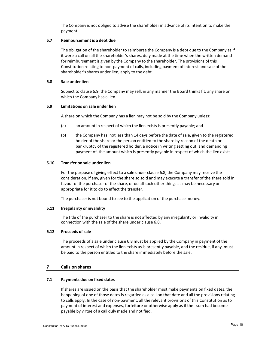The Company is not obliged to advise the shareholder in advance of its intention to make the payment.

# **6.7 Reimbursement is a debt due**

The obligation of the shareholder to reimburse the Company is a debt due to the Company as if it were a call on all the shareholder's shares, duly made at the time when the written demand for reimbursement is given by the Company to the shareholder. The provisions of this Constitution relating to non‐payment of calls, including payment of interest and sale of the shareholder's shares under lien, apply to the debt.

#### **6.8 Sale under lien**

Subject to clause 6.9, the Company may sell, in any manner the Board thinks fit, any share on which the Company has a lien.

# **6.9 Limitations on sale under lien**

A share on which the Company has a lien may not be sold by the Company unless:

- (a) an amount in respect of which the lien exists is presently payable; and
- (b) the Company has, not less than 14 days before the date of sale, given to the registered holder of the share or the person entitled to the share by reason of the death or bankruptcy of the registered holder, a notice in writing setting out, and demanding payment of, the amount which is presently payable in respect of which the lien exists.

#### **6.10 Transfer on sale under lien**

For the purpose of giving effect to a sale under clause 6.8, the Company may receive the consideration, if any, given for the share so sold and may execute a transfer of the share sold in favour of the purchaser of the share, or do all such other things as may be necessary or appropriate for it to do to effect the transfer.

The purchaser is not bound to see to the application of the purchase money.

#### **6.11 Irregularity orinvalidity**

The title of the purchaser to the share is not affected by any irregularity or invalidity in connection with the sale of the share under clause 6.8.

#### **6.12 Proceeds of sale**

The proceeds of a sale under clause 6.8 must be applied by the Company in payment of the amount in respect of which the lien exists as is presently payable, and the residue, if any, must be paid to the person entitled to the share immediately before the sale.

# **7 Calls on shares**

# **7.1 Payments due on fixed dates**

If shares are issued on the basis that the shareholder must make payments on fixed dates, the happening of one of those dates is regarded as a call on that date and all the provisions relating to calls apply. In the case of non-payment, all the relevant provisions of this Constitution as to payment of interest and expenses, forfeiture or otherwise apply as if the sum had become payable by virtue of a call duly made and notified.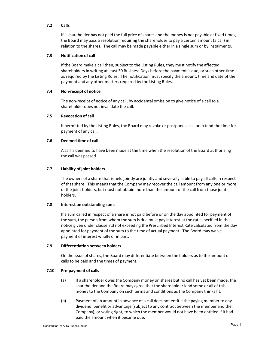# **7.2 Calls**

If a shareholder has not paid the full price of shares and the money is not payable at fixed times, the Board may pass a resolution requiring the shareholder to pay a certain amount (a call) in relation to the shares. The call may be made payable either in a single sum or by instalments.

# **7.3 Notification of call**

If the Board make a call then, subject to the Listing Rules, they must notify the affected shareholders in writing at least 30 Business Days before the payment is due, or such other time as required by the Listing Rules. The notification must specify the amount, time and date of the payment and any other matters required by the Listing Rules.

#### **7.4 Non‐receipt of notice**

The non‐receipt of notice of any call, by accidental omission to give notice of a call to a shareholder does not invalidate the call.

# **7.5 Revocation of call**

If permitted by the Listing Rules, the Board may revoke or postpone a call or extend the time for payment of any call.

#### **7.6 Deemed time of call**

A call is deemed to have been made at the time when the resolution of the Board authorising the call was passed.

#### **7.7 Liability of joint holders**

The owners of a share that is held jointly are jointly and severally liable to pay all calls in respect of that share. This means that the Company may recover the call amount from any one or more of the joint holders, but must not obtain more than the amount of the call from those joint holders.

#### **7.8 Interest on outstanding sums**

If a sum called in respect of a share is not paid before or on the day appointed for payment of the sum, the person from whom the sum is due must pay interest at the rate specified in the notice given under clause 7.3 not exceeding the Prescribed Interest Rate calculated from the day appointed for payment of the sum to the time of actual payment. The Board may waive payment of interest wholly or in part.

#### **7.9 Differentiation between holders**

On the issue of shares, the Board may differentiate between the holders as to the amount of calls to be paid and the times of payment.

# **7.10 Pre‐payment of calls**

- (a) If a shareholder owes the Company money on shares but no call has yet been made, the shareholder and the Board may agree that the shareholder lend some or all of this money to the Company on such terms and conditions as the Company thinks fit.
- (b) Payment of an amount in advance of a call does not entitle the paying member to any dividend, benefit or advantage (subject to any contract between the member and the Company), or voting right, to which the member would not have been entitled if it had paid the amount when it became due.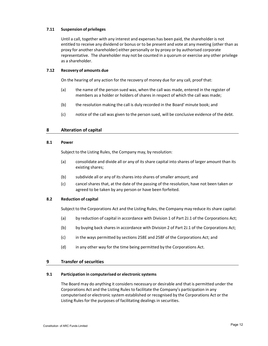# **7.11 Suspension of privileges**

Until a call, together with any interest and expenses has been paid, the shareholder is not entitled to receive any dividend or bonus or to be present and vote at any meeting (other than as proxy for another shareholder) either personally or by proxy or by authorised corporate representative. The shareholder may not be counted in a quorum or exercise any other privilege as a shareholder.

# **7.12 Recovery of amounts due**

On the hearing of any action for the recovery of money due for any call, proof that:

- (a) the name of the person sued was, when the call was made, entered in the register of members as a holder or holders of shares in respect of which the call was made;
- (b) the resolution making the call is duly recorded in the Board' minute book; and
- (c) notice of the call was given to the person sued, will be conclusive evidence of the debt.

# **8 Alteration of capital**

#### **8.1 Power**

Subject to the Listing Rules, the Company may, by resolution:

- (a) consolidate and divide all or any of its share capital into shares of larger amount than its existing shares;
- (b) subdivide all or any of its shares into shares of smaller amount; and
- (c) cancelshares that, at the date of the passing of the resolution, have not been taken or agreed to be taken by any person or have been forfeited.

#### **8.2 Reduction of capital**

Subject to the Corporations Act and the Listing Rules, the Company may reduce its share capital:

- (a) by reduction of capital in accordance with Division 1 of Part 2J.1 of the Corporations Act;
- (b) by buying back shares in accordance with Division 2 of Part 2J.1 of the Corporations Act;
- (c) in the ways permitted by sections 258E and 258F of the Corporations Act; and
- (d) in any other way for the time being permitted by the Corporations Act.

#### **9 Transfer of securities**

#### **9.1 Participation in computerised or electronic systems**

The Board may do anything it considers necessary or desirable and that is permitted under the Corporations Act and the Listing Rules to facilitate the Company's participation in any computerised or electronic system established or recognised by the Corporations Act or the Listing Rules for the purposes of facilitating dealings in securities.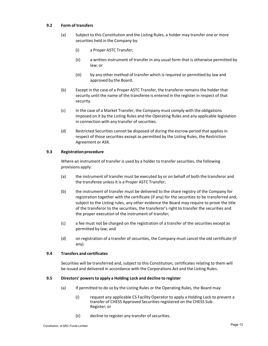# **9.2 Form of transfers**

- (a) Subject to this Constitution and the Listing Rules, a holder may transfer one or more securities held in the Company by:
	- (i) a Proper ASTC Transfer;
	- (ii) a written instrument of transfer in any usual form that is otherwise permitted by law; or
	- (iii) by any other method of transfer which is required or permitted by law and approved by the Board.
- (b) Except in the case of a Proper ASTC Transfer, the transferor remains the holder that security until the name of the transferee is entered in the register in respect of that security.
- (c) In the case of a Market Transfer, the Company must comply with the obligations imposed on it by the Listing Rules and the Operating Rules and any applicable legislation in connection with any transfer of securities.
- (d) Restricted Securities cannot be disposed of during the escrow period that applies in respect of those securities except as permitted by the Listing Rules, the Restriction Agreement or ASX.

# **9.3** Registration procedure

Where an instrument of transfer is used by a holder to transfer securities, the following provisions apply:

- (a) the instrument of transfer must be executed by or on behalf of both the transferor and the transferee unless it is a Proper ASTC Transfer;
- (b) the instrument of transfer must be delivered to the share registry of the Company for registration together with the certificate (if any) for the securities to be transferred and, subject to the Listing rules, any other evidence the Board may require to prove the title of the transferor to the securities, the transferor's right to transfer the securities and the proper execution of the instrument of transfer;
- (c) a fee must not be charged on the registration of a transfer of the securities except as permitted by law; and
- (d) on registration of a transfer of securities, the Company must cancel the old certificate (if any).

# **9.4 Transfers and certificates**

Securities will be transferred and, subject to this Constitution, certificates relating to them will be issued and delivered in accordance with the Corporations Act and the Listing Rules.

# **9.5 Directors' powersto apply a Holding Lock and decline to register**

- (a) If permitted to do so by the Listing Rules or the Operating Rules, the Board may:
	- (i) request any applicable CS Facility Operator to apply a Holding Lock to prevent a transfer of CHESS Approved Securities registered on the CHESS Sub‐ Register; or
	- (ii) decline to register any transfer of securities.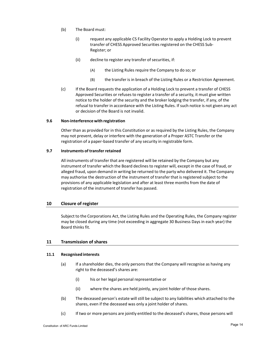- (b) The Board must:
	- (i) request any applicable CS Facility Operator to apply a Holding Lock to prevent transfer of CHESS Approved Securities registered on the CHESS Sub‐ Register; or
	- $(ii)$  decline to register any transfer of securities, if:
		- (A) the Listing Rules require the Company to do so; or
		- (B) the transfer is in breach of the Listing Rules or a Restriction Agreement.
- (c) If the Board requests the application of a Holding Lock to prevent a transfer of CHESS Approved Securities or refuses to register a transfer of a security, it must give written notice to the holder of the security and the broker lodging the transfer, if any, of the refusal to transfer in accordance with the Listing Rules. If such notice is not given any act or decision of the Board is not invalid.

#### **9.6 Non‐interferencewith registration**

Other than as provided for in this Constitution or as required by the Listing Rules, the Company may not prevent, delay or interfere with the generation of a Proper ASTC Transfer or the registration of a paper‐based transfer of any security in registrable form.

# **9.7 Instruments of transfer retained**

All instruments of transfer that are registered will be retained by the Company but any instrument of transfer which the Board declines to register will, except in the case of fraud, or alleged fraud, upon demand in writing be returned to the party who delivered it. The Company may authorise the destruction of the instrument of transfer that is registered subject to the provisions of any applicable legislation and after at least three months from the date of registration of the instrument of transfer has passed.

#### **10 Closure of register**

Subject to the Corporations Act, the Listing Rules and the Operating Rules, the Company register may be closed during any time (not exceeding in aggregate 30 Business Days in each year) the Board thinks fit.

# **11 Transmission of shares**

#### **11.1 Recognised interests**

- (a) If a shareholder dies, the only persons that the Company will recognise as having any right to the deceased's shares are:
	- (i) his or her legal personal representative or
	- (ii) where the shares are held jointly, any joint holder of those shares.
- (b) The deceased person's estate willstill be subject to any liabilities which attached to the shares, even if the deceased was only a joint holder of shares.
- (c) If two or more persons are jointly entitled to the deceased's shares, those persons will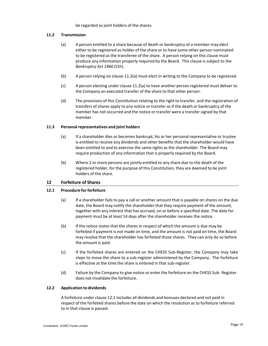be regarded as joint holders of the shares.

# **11.2 Transmission**

- (a) A person entitled to a share because of death or bankruptcy of a member may elect either to be registered as holder of the share or to have some other person nominated to be registered as the transferee of the share. A person relying on this clause must produce any information properly required by the Board. This clause is subject to the *Bankruptcy Act 1966* (Cth).
- (b) A person relying on clause 11.2(a) must elect in writing to the Company to be registered.
- (c) A person electing under clause 11.2(a) to have another person registered must deliver to the Company an executed transfer of the share to that other person.
- (d) The provisions of this Constitution relating to the right to transfer, and the registration of transfers of shares apply to any notice or transfer as if the death or bankruptcy of the member has not occurred and the notice or transfer were a transfer signed by that member.

# **11.3 Personal representatives and joint holders**

- (a) If a shareholder dies or becomes bankrupt, his or her personal representative or trustee is entitled to receive any dividends and other benefits that the shareholder would have been entitled to and to exercise the same rights as the shareholder. The Board may require production of any information that is properly required by the Board.
- (b) Where 2 or more persons are jointly entitled to any share due to the death of the registered holder, for the purpose of this Constitution, they are deemed to be joint holders of the share.

# **12 Forfeiture of Shares**

# **12.1 Procedure for forfeiture**

- (a) If a shareholder fails to pay a call or another amount that is payable on shares on the due date, the Board may notify the shareholder that they require payment of the amount, together with any interest that has accrued, on or before a specified date. The date for payment must be at least 14 days after the shareholder receives the notice.
- (b) If the notice states that the shares in respect of which the amount is due may be forfeited if payment is not made on time, and the amount is not paid on time, the Board may resolve that the shareholder has forfeited those shares. They can only do so before the amount is paid.
- (c) If the forfeited shares are entered on the CHESS Sub‐Register, the Company may take steps to move the share to a sub‐register administered by the Company. The forfeiture is effective at the time the share is entered in that sub-register.
- (d) Failure by the Company to give notice or enter the forfeiture on the CHESS Sub‐ Register does not invalidate the forfeiture.

# **12.2 Application to dividends**

A forfeiture under clause 12.1 includes all dividends and bonuses declared and not paid in respect of the forfeited shares before the date on which the resolution as to forfeiture referred to in that clause is passed.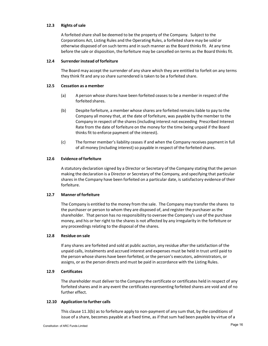# **12.3 Rights of sale**

A forfeited share shall be deemed to be the property of the Company. Subject to the Corporations Act, Listing Rules and the Operating Rules, a forfeited share may be sold or otherwise disposed of on such terms and in such manner as the Board thinks fit. At any time before the sale or disposition, the forfeiture may be cancelled on terms as the Board thinks fit.

# **12.4 Surrender instead of forfeiture**

The Board may accept the surrender of any share which they are entitled to forfeit on any terms they think fit and any so share surrendered is taken to be a forfeited share.

# **12.5 Cessation as a member**

- (a) A person whose shares have been forfeited ceases to be a member in respect of the forfeited shares.
- (b) Despite forfeiture, a member whose shares are forfeited remains liable to pay to the Company all money that, at the date of forfeiture, was payable by the member to the Company in respect of the shares (including interest not exceeding Prescribed Interest Rate from the date of forfeiture on the money for the time being unpaid if the Board thinks fit to enforce payment of the interest).
- (c) The former member's liability ceases if and when the Company receives payment in full of all money (including interest) so payable in respect of the forfeited shares.

# **12.6 Evidence of forfeiture**

A statutory declaration signed by a Director or Secretary of the Company stating that the person making the declaration is a Director or Secretary of the Company, and specifying that particular shares in the Company have been forfeited on a particular date, is satisfactory evidence of their forfeiture.

# **12.7 Manner of forfeiture**

The Company is entitled to the money from the sale. The Company may transfer the shares to the purchaser or person to whom they are disposed of, and register the purchaser as the shareholder. That person has no responsibility to oversee the Company's use of the purchase money, and his or her right to the shares is not affected by any irregularity in the forfeiture or any proceedings relating to the disposal of the shares.

### **12.8 Residue on sale**

If any shares are forfeited and sold at public auction, any residue after the satisfaction of the unpaid calls, instalments and accrued interest and expenses must be held in trust until paid to the person whose shares have been forfeited, or the person's executors, administrators, or assigns, or as the person directs and must be paid in accordance with the Listing Rules.

# **12.9 Certificates**

The shareholder must deliver to the Company the certificate or certificates held in respect of any forfeited shares and in any event the certificates representing forfeited shares are void and of no further effect.

# **12.10 Application to further calls**

This clause 11.3(b) as to forfeiture apply to non-payment of any sum that, by the conditions of issue of a share, becomes payable at a fixed time, as if that sum had been payable by virtue of a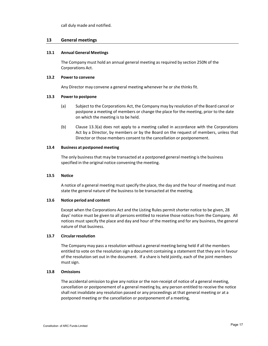call duly made and notified.

# **13 General meetings**

#### **13.1 Annual General Meetings**

The Company must hold an annual general meeting as required by section 250N of the Corporations Act.

#### **13.2 Power to convene**

Any Director may convene a general meeting whenever he or she thinks fit.

#### **13.3 Power to postpone**

- (a) Subject to the Corporations Act, the Company may by resolution of the Board cancel or postpone a meeting of members or change the place for the meeting, prior to the date on which the meeting is to be held.
- (b) Clause 13.3(a) does not apply to a meeting called in accordance with the Corporations Act by a Director, by members or by the Board on the request of members, unless that Director or those members consent to the cancellation or postponement.

#### **13.4 Business at postponed meeting**

The only business that may be transacted at a postponed general meeting is the business specified in the original notice convening the meeting.

# **13.5 Notice**

A notice of a general meeting must specify the place, the day and the hour of meeting and must state the general nature of the business to be transacted at the meeting.

#### **13.6 Notice period and content**

Except when the Corporations Act and the Listing Rules permit shorter notice to be given, 28 days' notice must be given to all persons entitled to receive those notices from the Company. All notices must specify the place and day and hour of the meeting and for any business, the general nature of that business.

#### **13.7 Circular resolution**

The Company may pass a resolution without a general meeting being held if all the members entitled to vote on the resolution sign a document containing a statement that they are in favour of the resolution set out in the document. If a share is held jointly, each of the joint members must sign.

#### **13.8 Omissions**

The accidental omission to give any notice or the non-receipt of notice of a general meeting, cancellation or postponement of a general meeting by, any person entitled to receive the notice shall not invalidate any resolution passed or any proceedings at that general meeting or at a postponed meeting or the cancellation or postponement of a meeting,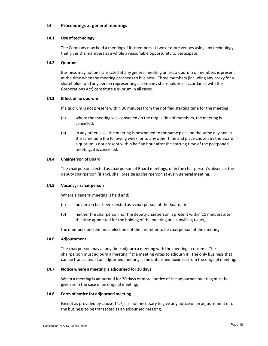#### **14.1 Use of technology**

The Company may hold a meeting of its members at two or more venues using any technology that gives the members as a whole a reasonable opportunity to participate.

# **14.2 Quorum**

Business may not be transacted at any general meeting unless a quorum of members is present at the time when the meeting proceeds to business. Three members (including any proxy for a shareholder and any person representing a company shareholder in accordance with the Corporations Act) constitute a quorum in all cases.

#### **14.3 Effect of no quorum**

If a quorum is not present within 30 minutes from the notified starting time for the meeting:

- (a) where the meeting was convened on the requisition of members, the meeting is cancelled;
- (b) in any other case, the meeting is postponed to the same place on the same day and at the same time the following week, or to any other time and place chosen by the Board. If a quorum is not present within half an hour after the starting time of the postponed meeting, it is cancelled.

#### **14.4 Chairperson of Board**

The chairperson elected as chairperson of Board meetings, or in the chairperson's absence, the deputy chairperson (if any), shall preside as chairperson at every general meeting.

#### **14.5 Vacancy in chairperson**

Where a general meeting is held and:

- (a) no person has been elected as a chairperson of the Board; or
- (b) neither the chairperson nor the deputy chairperson is present within 15 minutes after the time appointed for the holding of the meeting or is unwilling to act,

the members present must elect one of their number to be chairperson of the meeting.

#### **14.6 Adjournment**

The chairperson may at any time adjourn a meeting with the meeting's consent. The chairperson must adjourn a meeting if the meeting votes to adjourn it. The only business that can be transacted at an adjourned meeting is the unfinished business from the original meeting.

# **14.7 Notice where a meeting is adjourned for 30 days**

When a meeting is adjourned for 30 days or more, notice of the adjourned meeting must be given as in the case of an original meeting.

#### **14.8 Form of notice for adjourned meeting**

Except as provided by clause 14.7, it is not necessary to give any notice of an adjournment or of the business to be transacted at an adjourned meeting.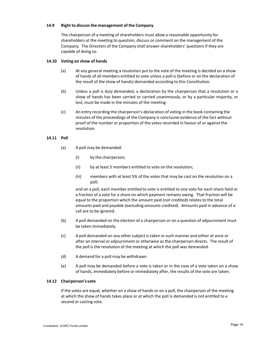# **14.9 Right to discussthe management of the Company**

The chairperson of a meeting of shareholders must allow a reasonable opportunity for shareholders at the meeting to question, discuss or comment on the management of the Company. The Directors of the Company shall answer shareholders' questions if they are capable of doing so.

#### **14.10 Voting on show of hands**

- (a) At any general meeting a resolution put to the vote of the meeting is decided on a show of hands of all members entitled to vote unless a poll is (before or on the declaration of the result of the show of hands) demanded according to this Constitution.
- (b) Unless a poll is duly demanded, a declaration by the chairperson that a resolution or a show of hands has been carried or carried unanimously, or by a particular majority, or lost, must be made in the minutes of the meeting.
- (c) An entry recording the chairperson's declaration of voting in the book containing the minutes of the proceedings of the Company is conclusive evidence of the fact without proof of the number or proportion of the votes recorded in favour of or against the resolution.

# **14.11 Poll**

- (a) A poll may be demanded:
	- (i) by the chairperson;
	- (ii) by at least 5 members entitled to vote on the resolution;
	- (iii) members with at least 5% of the votes that may be cast on the resolution on a poll;

and on a poll, each member entitled to vote is entitled to one vote for each share held or a fraction of a vote for a share on which payment remains owing. That fraction will be equal to the proportion which the amount paid (not credited) relates to the total amounts paid and payable (excluding amounts credited). Amounts paid in advance of a call are to be ignored.

- (b) A poll demanded on the election of a chairperson or on a question of adjournment must be taken immediately.
- (c) A poll demanded on any other subject is taken in such manner and either at once or after an interval or adjournment or otherwise as the chairperson directs. The result of the poll is the resolution of the meeting at which the poll was demanded.
- (d) A demand for a poll may be withdrawn.
- (e) A poll may be demanded before a vote is taken or in the case of a vote taken on a show of hands, immediately before or immediately after, the results of the vote are taken.

# **14.12 Chairperson's vote**

If the votes are equal, whether on a show of hands or on a poll, the chairperson of the meeting at which the show of hands takes place or at which the poll is demanded is not entitled to a second or casting vote.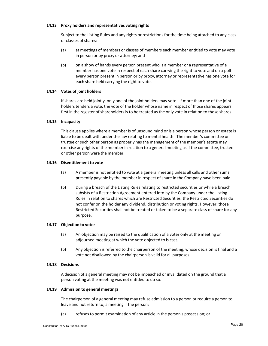# **14.13 Proxy holders and representatives voting rights**

Subject to the Listing Rules and any rights or restrictions for the time being attached to any class or classes of shares:

- (a) at meetings of members or classes of members each member entitled to vote may vote in person or by proxy or attorney; and
- (b) on a show of hands every person present who is a member or a representative of a member has one vote in respect of each share carrying the right to vote and on a poll every person present in person or by proxy, attorney or representative has one vote for each share held carrying the right to vote.

#### **14.14 Votes of joint holders**

If shares are held jointly, only one of the joint holders may vote. If more than one of the joint holders tenders a vote, the vote of the holder whose name in respect of those shares appears first in the register of shareholders is to be treated as the only vote in relation to those shares.

#### **14.15 Incapacity**

This clause applies where a member is of unsound mind or is a person whose person or estate is liable to be dealt with under the law relating to mental health. The member's committee or trustee or such other person as properly has the management of the member's estate may exercise any rights of the member in relation to a general meeting as if the committee, trustee or other person were the member.

#### **14.16 Disentitlement to vote**

- (a) A member is not entitled to vote at a general meeting unless all calls and other sums presently payable by the member in respect of share in the Company have been paid.
- (b) During a breach of the Listing Rules relating to restricted securities or while a breach subsists of a Restriction Agreement entered into by the Company under the Listing Rules in relation to shares which are Restricted Securities, the Restricted Securities do not confer on the holder any dividend, distribution or voting rights. However, those Restricted Securities shall not be treated or taken to be a separate class of share for any purpose.

#### **14.17 Objection to voter**

- (a) An objection may be raised to the qualification of a voter only at the meeting or adjourned meeting at which the vote objected to is cast.
- (b) Any objection is referred to the chairperson of the meeting, whose decision is final and a vote not disallowed by the chairperson is valid for all purposes.

#### **14.18 Decisions**

A decision of a general meeting may not be impeached or invalidated on the ground that a person voting at the meeting was not entitled to do so.

#### **14.19 Admission to general meetings**

The chairperson of a general meeting may refuse admission to a person or require a person to leave and not return to, a meeting if the person:

(a) refuses to permit examination of any article in the person's possession; or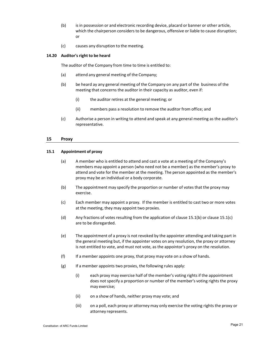- (b) is in possession or and electronic recording device, placard or banner or other article, which the chairperson considers to be dangerous, offensive or liable to cause disruption; or
- (c) causes any disruption to the meeting.

# **14.20 Auditor's right to be heard**

The auditor of the Company from time to time is entitled to:

- (a) attend any general meeting of the Company;
- (b) be heard ay any general meeting of the Company on any part of the business of the meeting that concerns the auditor in their capacity as auditor, even if:
	- (i) the auditor retires at the general meeting; or
	- (ii) members pass a resolution to remove the auditor from office; and
- (c) Authorise a person in writing to attend and speak at any general meeting as the auditor's representative.

#### **15 Proxy**

# **15.1 Appointment of proxy**

- (a) A member who is entitled to attend and cast a vote at a meeting of the Company's members may appoint a person (who need not be a member) as the member's proxy to attend and vote for the member at the meeting. The person appointed as the member's proxy may be an individual or a body corporate.
- (b) The appointment may specify the proportion or number of votes that the proxy may exercise.
- (c) Each member may appoint a proxy. If the member is entitled to cast two or more votes at the meeting, they may appoint two proxies.
- (d) Any fractions of votes resulting from the application of clause 15.1(b) or clause 15.1(c) are to be disregarded.
- (e) The appointment of a proxy is not revoked by the appointer attending and taking part in the general meeting but, if the appointer votes on any resolution, the proxy or attorney is not entitled to vote, and must not vote, as the appointor's proxy on the resolution.
- (f) If a member appoints one proxy, that proxy may vote on a show of hands.
- (g) If a member appoints two proxies, the following rules apply:
	- (i) each proxy may exercise half of the member's voting rights if the appointment does not specify a proportion or number of the member's voting rights the proxy may exercise;
	- (ii) on a show of hands, neither proxy may vote; and
	- (iii) on a poll, each proxy or attorney may only exercise the voting rights the proxy or attorney represents.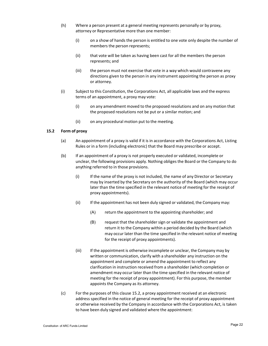- (h) Where a person present at a general meeting represents personally or by proxy, attorney or Representative more than one member:
	- (i) on a show of hands the person is entitled to one vote only despite the number of members the person represents;
	- (ii) that vote will be taken as having been cast for all the members the person represents; and
	- (iii) the person must not exercise that vote in a way which would contravene any directions given to the person in any instrument appointing the person as proxy or attorney.
- (i) Subject to this Constitution, the Corporations Act, all applicable laws and the express terms of an appointment, a proxy may vote:
	- (i) on any amendment moved to the proposed resolutions and on any motion that the proposed resolutions not be put or a similar motion; and
	- (ii) on any procedural motion put to the meeting.

#### **15.2 Form of proxy**

- (a) An appointment of a proxy is valid if it is in accordance with the Corporations Act, Listing Rules or in a form (including electronic) that the Board may prescribe or accept.
- (b) If an appointment of a proxy is not properly executed or validated, incomplete or unclear, the following provisions apply. Nothing obliges the Board or the Company to do anything referred to in those provisions.
	- (i) If the name of the proxy is not included, the name of any Director or Secretary may by inserted by the Secretary on the authority of the Board (which may occur later than the time specified in the relevant notice of meeting for the receipt of proxy appointments).
	- (ii) If the appointment has not been duly signed or validated, the Company may:
		- (A) return the appointment to the appointing shareholder; and
		- (B) request that the shareholder sign or validate the appointment and return it to the Company within a period decided by the Board (which may occur later than the time specified in the relevant notice of meeting for the receipt of proxy appointments).
	- (iii) If the appointment is otherwise incomplete or unclear, the Company may by written or communication, clarify with a shareholder any instruction on the appointment and complete or amend the appointment to reflect any clarification in instruction received from a shareholder (which completion or amendment may occur later than the time specified in the relevant notice of meeting for the receipt of proxy appointment). For this purpose, the member appoints the Company as its attorney.
- (c) For the purposes of this clause 15.2, a proxy appointment received at an electronic address specified in the notice of general meeting for the receipt of proxy appointment or otherwise received by the Company in accordance with the Corporations Act, is taken to have been duly signed and validated where the appointment: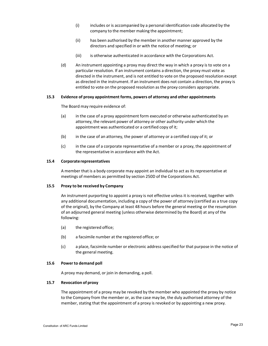- (i) includes or is accompanied by a personal identification code allocated by the company to the member making the appointment;
- (ii) has been authorised by the member in another manner approved by the directors and specified in or with the notice of meeting; or
- (iii) is otherwise authenticated in accordance with the Corporations Act.
- (d) An instrument appointing a proxy may direct the way in which a proxy is to vote on a particular resolution. If an instrument contains a direction, the proxy must vote as directed in the instrument, and is not entitled to vote on the proposed resolution except as directed in the instrument. If an instrument does not contain a direction, the proxy is entitled to vote on the proposed resolution as the proxy considers appropriate.

#### **15.3 Evidence of proxy appointment forms, powers of attorney and other appointments**

The Board may require evidence of:

- (a) in the case of a proxy appointment form executed or otherwise authenticated by an attorney, the relevant power of attorney or other authority under which the appointment was authenticated or a certified copy of it;
- (b) in the case of an attorney, the power of attorney or a certified copy of it; or
- (c) in the case of a corporate representative of a member or a proxy, the appointment of the representative in accordance with the Act.

#### **15.4 Corporaterepresentatives**

A member that is a body corporate may appoint an individual to act as its representative at meetings of members as permitted by section 250D of the Corporations Act.

#### **15.5 Proxy to be received by Company**

An instrument purporting to appoint a proxy is not effective unless it is received, together with any additional documentation, including a copy of the power of attorney (certified as a true copy of the original), by the Company at least 48 hours before the general meeting or the resumption of an adjourned general meeting (unless otherwise determined by the Board) at any of the following:

- (a) the registered office;
- (b) a facsimile number at the registered office; or
- (c) a place, facsimile number or electronic address specified for that purpose in the notice of the general meeting.

# **15.6 Power to demand poll**

A proxy may demand, or join in demanding, a poll.

#### **15.7 Revocation of proxy**

The appointment of a proxy may be revoked by the member who appointed the proxy by notice to the Company from the member or, as the case may be, the duly authorised attorney of the member, stating that the appointment of a proxy is revoked or by appointing a new proxy.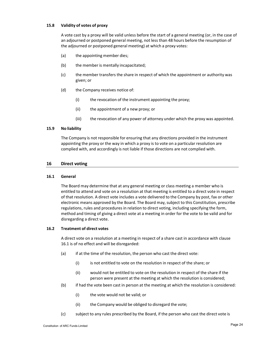# **15.8 Validity of votes of proxy**

A vote cast by a proxy will be valid unless before the start of a general meeting (or, in the case of an adjourned or postponed general meeting, not less than 48 hours before the resumption of the adjourned or postponed general meeting) at which a proxy votes:

- (a) the appointing member dies;
- (b) the member is mentally incapacitated;
- (c) the member transfers the share in respect of which the appointment or authority was given; or
- (d) the Company receives notice of:
	- (i) the revocation of the instrument appointing the proxy;
	- (ii) the appointment of a new proxy; or
	- (iii) the revocation of any power of attorney under which the proxy was appointed.

#### **15.9 No liability**

The Company is not responsible for ensuring that any directions provided in the instrument appointing the proxy or the way in which a proxy is to vote on a particular resolution are complied with, and accordingly is not liable if those directions are not complied with.

#### **16 Direct voting**

#### **16.1 General**

The Board may determine that at any general meeting or class meeting a member who is entitled to attend and vote on a resolution at that meeting is entitled to a direct vote in respect of that resolution. A direct vote includes a vote delivered to the Company by post, fax or other electronic means approved by the Board. The Board may,subject to this Constitution, prescribe regulations, rules and procedures in relation to direct voting, including specifying the form, method and timing of giving a direct vote at a meeting in order for the vote to be valid and for disregarding a direct vote.

#### **16.2 Treatment of direct votes**

A direct vote on a resolution at a meeting in respect of a share cast in accordance with clause 16.1 is of no effect and will be disregarded:

- (a) if at the time of the resolution, the person who cast the direct vote:
	- (i) is not entitled to vote on the resolution in respect of the share; or
	- (ii) would not be entitled to vote on the resolution in respect of the share if the person were present at the meeting at which the resolution is considered;
- (b) if had the vote been cast in person at the meeting at which the resolution is considered:
	- (i) the vote would not be valid; or
	- (ii) the Company would be obliged to disregard the vote;
- (c) subject to any rules prescribed by the Board, if the person who cast the direct vote is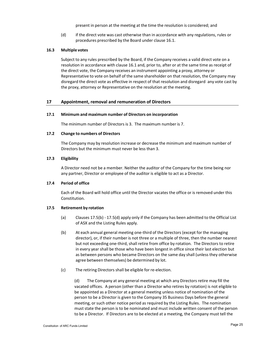present in person at the meeting at the time the resolution is considered; and

(d) if the direct vote was cast otherwise than in accordance with any regulations, rules or procedures prescribed by the Board under clause 16.1.

#### **16.3 Multiple votes**

Subject to any rules prescribed by the Board, if the Company receives a valid direct vote on a resolution in accordance with clause 16.1 and, prior to, after or at the same time as receipt of the direct vote, the Company receives an instrument appointing a proxy, attorney or Representative to vote on behalf of the same shareholder on that resolution, the Company may disregard the direct vote as effective in respect of that resolution and disregard any vote cast by the proxy, attorney or Representative on the resolution at the meeting.

#### **17 Appointment, removal and remuneration of Directors**

#### **17.1 Minimum and maximum number of Directors on incorporation**

The minimum number of Directors is 3. The maximum number is 7.

#### **17.2 Change to numbers of Directors**

The Company may by resolution increase or decrease the minimum and maximum number of Directors but the minimum must never be less than 3.

#### **17.3 Eligibility**

A Director need not be a member. Neither the auditor of the Company for the time being nor any partner, Director or employee of the auditor is eligible to act as a Director.

# **17.4 Period of office**

Each of the Board will hold office until the Director vacates the office or is removed under this Constitution.

#### **17.5 Retirement by rotation**

- (a) Clauses 17.5(b) ‐ 17.5(d) apply only if the Company has been admitted to the Official List of ASX and the Listing Rules apply.
- (b) At each annual general meeting one‐third of the Directors (except for the managing director), or, if their number is not three or a multiple of three, then the number nearest but not exceeding one‐third, shall retire from office by rotation. The Directors to retire in every year shall be those who have been longest in office since their last election but as between persons who became Directors on the same day shall (unless they otherwise agree between themselves) be determined by lot.
- (c) The retiring Directors shall be eligible for re‐election.

(d) The Company at any general meeting at which any Directors retire may fill the vacated offices. A person (other than a Director who retires by rotation) is not eligible to be appointed as a Director at a general meeting unless notice of nomination of the person to be a Director is given to the Company 35 Business Days before the general meeting, or such other notice period as required by the Listing Rules. The nomination must state the person is to be nominated and must include written consent of the person to be a Director. If Directors are to be elected at a meeting, the Company must tell the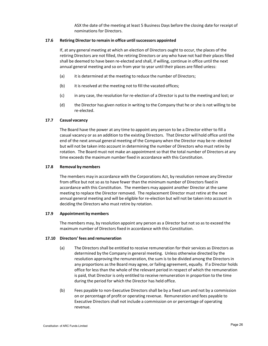ASX the date of the meeting at least 5 Business Days before the closing date for receipt of nominations for Directors.

# **17.6 Retiring Director to remain in office untilsuccessors appointed**

If, at any general meeting at which an election of Directors ought to occur, the places of the retiring Directors are not filled, the retiring Directors or any who have not had their places filled shall be deemed to have been re‐elected and shall, if willing, continue in office until the next annual general meeting and so on from year to year until their places are filled unless:

- (a) it is determined at the meeting to reduce the number of Directors;
- (b) it is resolved at the meeting not to fill the vacated offices;
- (c) in any case, the resolution for re‐election of a Director is put to the meeting and lost; or
- (d) the Director has given notice in writing to the Company that he or she is not willing to be re‐elected.

# **17.7 Casual vacancy**

The Board have the power at any time to appoint any person to be a Director either to fill a casual vacancy or as an addition to the existing Directors. That Director will hold office until the end of the next annual general meeting of the Company when the Director may be re‐ elected but will not be taken into account in determining the number of Directors who must retire by rotation. The Board must not make an appointment so that the total number of Directors at any time exceeds the maximum number fixed in accordance with this Constitution.

#### **17.8 Removal by members**

The members may in accordance with the Corporations Act, by resolution remove any Director from office but not so as to have fewer than the minimum number of Directors fixed in accordance with this Constitution. The members may appoint another Director at the same meeting to replace the Director removed. The replacement Director must retire at the next annual general meeting and will be eligible for re‐election but will not be taken into account in deciding the Directors who must retire by rotation.

#### **17.9 Appointment by members**

The members may, by resolution appoint any person as a Director but not so as to exceed the maximum number of Directors fixed in accordance with this Constitution.

#### **17.10 Directors' fees and remuneration**

- (a) The Directors shall be entitled to receive remuneration for their services as Directors as determined by the Company in general meeting. Unless otherwise directed by the resolution approving the remuneration, the sum is to be divided among the Directors in any proportions as the Board may agree, or failing agreement, equally. If a Director holds office for less than the whole of the relevant period in respect of which the remuneration is paid, that Director is only entitled to receive remuneration in proportion to the time during the period for which the Director has held office.
- (b) Fees payable to non‐Executive Directors shall be by a fixed sum and not by a commission on or percentage of profit or operating revenue. Remuneration and fees payable to Executive Directors shall not include a commission on or percentage of operating revenue.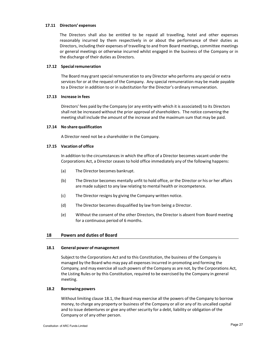#### **17.11 Directors' expenses**

The Directors shall also be entitled to be repaid all travelling, hotel and other expenses reasonably incurred by them respectively in or about the performance of their duties as Directors, including their expenses of travelling to and from Board meetings, committee meetings or general meetings or otherwise incurred whilst engaged in the business of the Company or in the discharge of their duties as Directors.

# **17.12 Specialremuneration**

The Board may grant special remuneration to any Director who performs any special or extra services for or at the request of the Company. Any special remuneration may be made payable to a Director in addition to or in substitution for the Director's ordinary remuneration.

#### **17.13 Increase in fees**

Directors' fees paid by the Company (or any entity with which it is associated) to its Directors shall not be increased without the prior approval of shareholders. The notice convening the meeting shall include the amount of the increase and the maximum sum that may be paid.

#### **17.14 No share qualification**

A Director need not be a shareholder in the Company.

# **17.15 Vacation of office**

In addition to the circumstances in which the office of a Director becomes vacant under the Corporations Act, a Director ceases to hold office immediately any of the following happens:

- (a) The Director becomes bankrupt.
- (b) The Director becomes mentally unfit to hold office, or the Director or his or her affairs are made subject to any law relating to mental health or incompetence.
- (c) The Director resigns by giving the Company written notice.
- (d) The Director becomes disqualified by law from being a Director.
- (e) Without the consent of the other Directors, the Director is absent from Board meeting for a continuous period of 6 months.

# **18 Powers and duties of Board**

#### **18.1 General power of management**

Subject to the Corporations Act and to this Constitution, the business of the Company is managed by the Board who may pay all expenses incurred in promoting and forming the Company, and may exercise all such powers of the Company as are not, by the Corporations Act, the Listing Rules or by this Constitution, required to be exercised by the Company in general meeting.

# **18.2 Borrowing powers**

Without limiting clause 18.1, the Board may exercise all the powers of the Company to borrow money, to charge any property or business of the Company or all or any of its uncalled capital and to issue debentures or give any other security for a debt, liability or obligation of the Company or of any other person.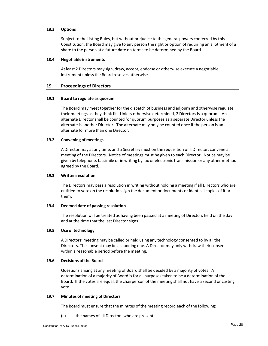# **18.3 Options**

Subject to the Listing Rules, but without prejudice to the general powers conferred by this Constitution, the Board may give to any person the right or option of requiring an allotment of a share to the person at a future date on terms to be determined by the Board.

#### **18.4 Negotiableinstruments**

At least 2 Directors may sign, draw, accept, endorse or otherwise execute a negotiable instrument unless the Board resolves otherwise.

#### **19 Proceedings of Directors**

# **19.1 Board to regulate as quorum**

The Board may meet together for the dispatch of business and adjourn and otherwise regulate their meetings as they think fit. Unless otherwise determined, 2 Directors is a quorum. An alternate Director shall be counted for quorum purposes as a separate Director unless the alternate is another Director. The alternate may only be counted once if the person is an alternate for more than one Director.

#### **19.2 Convening of meetings**

A Director may at any time, and a Secretary must on the requisition of a Director, convene a meeting of the Directors. Notice of meetings must be given to each Director. Notice may be given by telephone, facsimile or in writing by fax or electronic transmission or any other method agreed by the Board.

#### **19.3 Written resolution**

The Directors may pass a resolution in writing without holding a meeting if all Directors who are entitled to vote on the resolution sign the document or documents or identical copies of it or them.

#### **19.4 Deemed date of passing resolution**

The resolution will be treated as having been passed at a meeting of Directors held on the day and at the time that the last Director signs.

# **19.5 Use of technology**

A Directors' meeting may be called or held using any technology consented to by all the Directors. The consent may be a standing one. A Director may only withdraw their consent within a reasonable period before the meeting.

#### **19.6 Decisions of the Board**

Questions arising at any meeting of Board shall be decided by a majority of votes. A determination of a majority of Board is for all purposes taken to be a determination of the Board. If the votes are equal, the chairperson of the meeting shall not have a second or casting vote.

#### **19.7 Minutes of meeting of Directors**

The Board must ensure that the minutes of the meeting record each of the following:

(a) the names of all Directors who are present;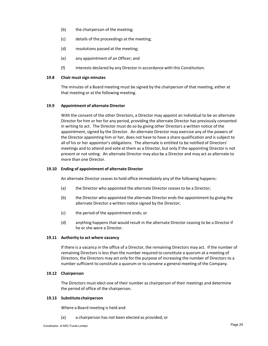- (b) the chairperson of the meeting;
- (c) details of the proceedings at the meeting;
- (d) resolutions passed at the meeting;
- (e) any appointment of an Officer; and
- (f) interests declared by any Director in accordance with this Constitution.

#### **19.8 Chair mustsign minutes**

The minutes of a Board meeting must be signed by the chairperson of that meeting, either at that meeting or at the following meeting.

#### **19.9 Appointment of alternate Director**

With the consent of the other Directors, a Director may appoint an individual to be an alternate Director for him or her for any period, providing the alternate Director has previously consented in writing to act. The Director must do so by giving other Directors a written notice of the appointment, signed by the Director. An alternate Director may exercise any of the powers of the Director appointing him or her, does not have to have a share qualification and is subject to all of his or her appointor's obligations. The alternate is entitled to be notified of Directors' meetings and to attend and vote at them as a Director, but only if the appointing Director is not present or not voting. An alternate Director may also be a Director and may act as alternate to more than one Director.

#### **19.10 Ending of appointment of alternate Director**

An alternate Director ceases to hold office immediately any of the following happens:

- (a) the Director who appointed the alternate Director ceases to be a Director;
- (b) the Director who appointed the alternate Director ends the appointment by giving the alternate Director a written notice signed by the Director;
- (c) the period of the appointment ends; or
- (d) anything happens that would result in the alternate Director ceasing to be a Director if he or she were a Director.

#### **19.11 Authority to act where vacancy**

If there is a vacancy in the office of a Director, the remaining Directors may act. If the number of remaining Directors is less than the number required to constitute a quorum at a meeting of Directors, the Directors may act only for the purpose of increasing the number of Directors to a number sufficient to constitute a quorum or to convene a general meeting of the Company.

#### **19.12 Chairperson**

The Directors must elect one of their number as chairperson of their meetings and determine the period of office of the chairperson.

# **19.13 Substitutechairperson**

Where a Board meeting is held and:

(a) a chairperson has not been elected as provided; or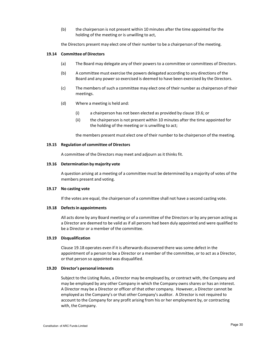(b) the chairperson is not present within 10 minutes after the time appointed for the holding of the meeting or is unwilling to act,

the Directors present may elect one of their number to be a chairperson of the meeting.

#### **19.14 Committee of Directors**

- (a) The Board may delegate any of their powers to a committee or committees of Directors.
- (b) A committee must exercise the powers delegated according to any directions of the Board and any power so exercised is deemed to have been exercised by the Directors.
- (c) The members of such a committee may elect one of their number as chairperson of their meetings.
- (d) Where a meeting is held and:
	- (i) a chairperson has not been elected as provided by clause 19.6; or
	- (ii) the chairperson is not present within 10 minutes after the time appointed for the holding of the meeting or is unwilling to act;

the members present must elect one of their number to be chairperson of the meeting.

#### **19.15 Regulation of committee of Directors**

A committee of the Directors may meet and adjourn as it thinks fit.

#### **19.16 Determination by majority vote**

A question arising at a meeting of a committee must be determined by a majority of votes of the members present and voting.

#### **19.17 No casting vote**

If the votes are equal, the chairperson of a committee shall not have a second casting vote.

#### **19.18 Defectsin appointments**

All acts done by any Board meeting or of a committee of the Directors or by any person acting as a Director are deemed to be valid as if all persons had been duly appointed and were qualified to be a Director or a member of the committee.

# **19.19 Disqualification**

Clause 19.18 operates even if it is afterwards discovered there was some defect in the appointment of a person to be a Director or a member of the committee, or to act as a Director, or that person so appointed was disqualified.

#### **19.20 Director's personal interests**

Subject to the Listing Rules, a Director may be employed by, or contract with, the Company and may be employed by any other Company in which the Company owns shares or has an interest. A Director may be a Director or officer of that other company. However, a Director cannot be employed as the Company's or that other Company's auditor. A Director is not required to account to the Company for any profit arising from his or her employment by, or contracting with, the Company.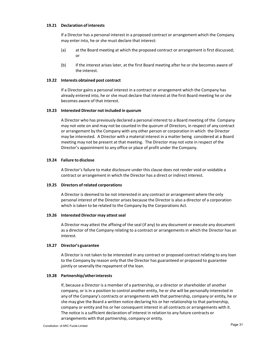#### **19.21 Declaration of interests**

If a Director has a personal interest in a proposed contract or arrangement which the Company may enter into, he or she must declare that interest:

- (a) at the Board meeting at which the proposed contract or arrangement is first discussed; or
- (b) if the interest arises later, at the first Board meeting after he or she becomes aware of the interest.

#### **19.22 Interests obtained post contract**

If a Director gains a personal interest in a contract or arrangement which the Company has already entered into, he or she must declare that interest at the first Board meeting he or she becomes aware of that interest.

#### **19.23 Interested Director not included in quorum**

A Director who has previously declared a personal interest to a Board meeting of the Company may not vote on and may not be counted in the quorum of Directors, in respect of any contract or arrangement by the Company with any other person or corporation in which the Director may be interested. A Director with a material interest in a matter being considered at a Board meeting may not be present at that meeting. The Director may not vote in respect of the Director's appointment to any office or place of profit under the Company.

#### **19.24 Failure to disclose**

A Director's failure to make disclosure under this clause does not render void or voidable a contract or arrangement in which the Director has a direct or indirect interest.

#### **19.25 Directors of related corporations**

A Director is deemed to be not interested in any contract or arrangement where the only personal interest of the Director arises because the Director is also a director of a corporation which is taken to be related to the Company by the Corporations Act.

#### **19.26 Interested Director may attestseal**

A Director may attest the affixing of the seal (if any) to any document or execute any document as a director of the Company relating to a contract or arrangements in which the Director has an interest.

#### **19.27 Director's guarantee**

A Director is not taken to be interested in any contract or proposed contract relating to any loan to the Company by reason only that the Director has guaranteed or proposed to guarantee jointly or severally the repayment of the loan.

#### **19.28 Partnership/otherinterests**

If, because a Director is a member of a partnership, or a director or shareholder of another company, or is in a position to control another entity, he or she will be personally interested in any of the Company's contracts or arrangements with that partnership, company or entity, he or she may give the Board a written notice declaring his or her relationship to that partnership, company or entity and his or her consequent interest in all contracts or arrangements with it. The notice is a sufficient declaration of interest in relation to any future contracts or arrangements with that partnership, company or entity.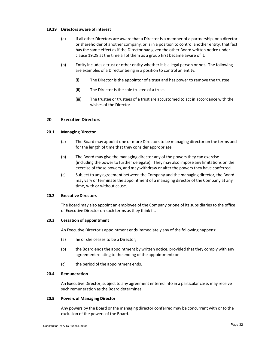#### **19.29 Directors aware of interest**

- (a) If all other Directors are aware that a Director is a member of a partnership, or a director or shareholder of another company, or is in a position to control another entity, that fact has the same effect as if the Director had given the other Board written notice under clause 19.28 at the time all of them as a group first became aware of it.
- (b) Entity includes a trust or other entity whether it is a legal person or not. The following are examples of a Director being in a position to control an entity.
	- (i) The Director is the appointor of a trust and has power to remove the trustee.
	- (ii) The Director is the sole trustee of a trust.
	- (iii) The trustee or trustees of a trust are accustomed to act in accordance with the wishes of the Director.

#### **20 Executive Directors**

#### **20.1 ManagingDirector**

- (a) The Board may appoint one or more Directors to be managing director on the terms and for the length of time that they consider appropriate.
- (b) The Board may give the managing director any of the powers they can exercise (including the power to further delegate). They may also impose any limitations on the exercise of those powers, and may withdraw or alter the powers they have conferred.
- (c) Subject to any agreement between the Company and the managing director, the Board may vary or terminate the appointment of a managing director of the Company at any time, with or without cause.

#### **20.2 ExecutiveDirectors**

The Board may also appoint an employee of the Company or one of its subsidiaries to the office of Executive Director on such terms as they think fit.

#### **20.3 Cessation of appointment**

An Executive Director's appointment ends immediately any of the following happens:

- (a) he or she ceases to be a Director;
- (b) the Board ends the appointment by written notice, provided that they comply with any agreement relating to the ending of the appointment; or
- (c) the period of the appointment ends.

## **20.4 Remuneration**

An Executive Director, subject to any agreement entered into in a particular case, may receive such remuneration as the Board determines.

#### **20.5 Powers of Managing Director**

Any powers by the Board or the managing director conferred may be concurrent with or to the exclusion of the powers of the Board.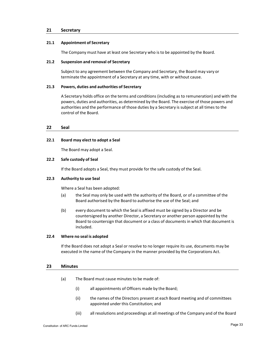# **21 Secretary**

#### **21.1 Appointment of Secretary**

The Company must have at least one Secretary who is to be appointed by the Board.

#### **21.2 Suspension and removal of Secretary**

Subject to any agreement between the Company and Secretary, the Board may vary or terminate the appointment of a Secretary at any time, with or without cause.

#### **21.3 Powers, duties and authorities of Secretary**

A Secretary holds office on the terms and conditions (including as to remuneration) and with the powers, duties and authorities, as determined by the Board. The exercise of those powers and authorities and the performance of those duties by a Secretary is subject at all times to the control of the Board.

#### **22 Seal**

#### **22.1 Board may elect to adopt a Seal**

The Board may adopt a Seal.

#### **22.2 Safe custody of Seal**

If the Board adopts a Seal, they must provide for the safe custody of the Seal.

#### **22.3 Authority to use Seal**

Where a Seal has been adopted:

- (a) the Seal may only be used with the authority of the Board, or of a committee of the Board authorised by the Board to authorise the use of the Seal; and
- (b) every document to which the Seal is affixed must be signed by a Director and be countersigned by another Director, a Secretary or another person appointed by the Board to countersign that document or a class of documents in which that document is included.

#### **22.4 Where no seal is adopted**

If the Board does not adopt a Seal or resolve to no longer require its use, documents may be executed in the name of the Company in the manner provided by the Corporations Act.

#### **23 Minutes**

- (a) The Board must cause minutes to be made of:
	- (i) all appointments of Officers made by the Board;
	- (ii) the names of the Directors present at each Board meeting and of committees appointed under this Constitution; and
	- (iii) all resolutions and proceedings at all meetings of the Company and of the Board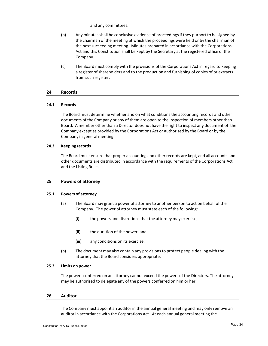and any committees.

- (b) Any minutes shall be conclusive evidence of proceedings if they purport to be signed by the chairman of the meeting at which the proceedings were held or by the chairman of the next succeeding meeting. Minutes prepared in accordance with the Corporations Act and this Constitution shall be kept by the Secretary at the registered office of the Company.
- (c) The Board must comply with the provisions of the Corporations Act in regard to keeping a register of shareholders and to the production and furnishing of copies of or extracts from such register.

#### **24 Records**

#### **24.1 Records**

The Board must determine whether and on what conditions the accounting records and other documents of the Company or any of them are open to the inspection of members other than Board. A member other than a Director does not have the right to inspect any document of the Company except as provided by the Corporations Act or authorised by the Board or by the Company in general meeting.

#### **24.2 Keeping records**

The Board must ensure that proper accounting and other records are kept, and all accounts and other documents are distributed in accordance with the requirements of the Corporations Act and the Listing Rules.

# **25 Powers of attorney**

#### **25.1 Powers of attorney**

- (a) The Board may grant a power of attorney to another person to act on behalf of the Company. The power of attorney must state each of the following:
	- (i) the powers and discretions that the attorney may exercise;
	- (ii) the duration of the power; and
	- (iii) any conditions on its exercise.
- (b) The document may also contain any provisions to protect people dealing with the attorney that the Board considers appropriate.

#### **25.2 Limits on power**

The powers conferred on an attorney cannot exceed the powers of the Directors. The attorney may be authorised to delegate any of the powers conferred on him or her.

# **26 Auditor**

The Company must appoint an auditor in the annual general meeting and may only remove an auditor in accordance with the Corporations Act. At each annual general meeting the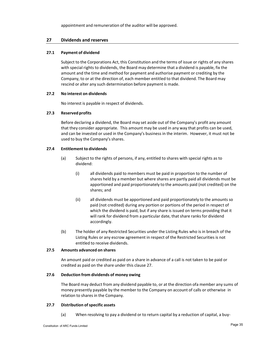appointment and remuneration of the auditor will be approved.

# **27 Dividends and reserves**

# **27.1 Payment of dividend**

Subject to the Corporations Act, this Constitution and the terms of issue or rights of any shares with special rights to dividends, the Board may determine that a dividend is payable, fix the amount and the time and method for payment and authorise payment or crediting by the Company, to or at the direction of, each member entitled to that dividend. The Board may rescind or alter any such determination before payment is made.

#### **27.2 No interest on dividends**

No interest is payable in respect of dividends.

# **27.3 Reserved profits**

Before declaring a dividend, the Board may set aside out of the Company's profit any amount that they consider appropriate. This amount may be used in any way that profits can be used, and can be invested or used in the Company's business in the interim. However, it must not be used to buy the Company's shares.

#### **27.4 Entitlement to dividends**

- (a) Subject to the rights of persons, if any, entitled to shares with special rights as to dividend:
	- (i) all dividends paid to members must be paid in proportion to the number of shares held by a member but where shares are partly paid all dividends must be apportioned and paid proportionately to the amounts paid (not credited) on the shares; and
	- (ii) all dividends must be apportioned and paid proportionately to the amounts so paid (not credited) during any portion or portions of the period in respect of which the dividend is paid, but if any share is issued on terms providing that it will rank for dividend from a particular date, that share ranks for dividend accordingly.
- (b) The holder of any Restricted Securities under the Listing Rules who is in breach of the Listing Rules or any escrow agreement in respect of the Restricted Securities is not entitled to receive dividends.

#### **27.5 Amounts advanced on shares**

An amount paid or credited as paid on a share in advance of a call is not taken to be paid or credited as paid on the share under this clause 27.

#### **27.6 Deduction from dividends of money owing**

The Board may deduct from any dividend payable to, or at the direction ofa member any sums of money presently payable by the member to the Company on account of calls or otherwise in relation to shares in the Company.

# **27.7 Distribution ofspecific assets**

(a) When resolving to pay a dividend or to return capital by a reduction of capital, a buy‐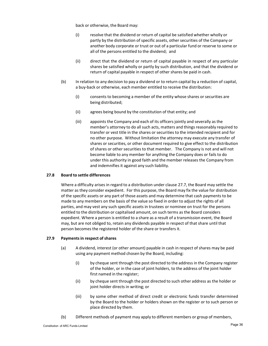back or otherwise, the Board may:

- (i) resolve that the dividend or return of capital be satisfied whether wholly or partly by the distribution of specific assets, other securities of the Company or another body corporate or trust or out of a particular fund or reserve to some or all of the persons entitled to the dividend; and
- (ii) direct that the dividend or return of capital payable in respect of any particular shares be satisfied wholly or partly by such distribution, and that the dividend or return of capital payable in respect of other shares be paid in cash.
- (b) In relation to any decision to pay a dividend or to return capital by a reduction of capital, a buy‐back or otherwise, each member entitled to receive the distribution:
	- (i) consents to becoming a member of the entity whose shares or securities are being distributed;
	- (ii) agrees being bound by the constitution of that entity; and
	- (iii) appoints the Company and each of its officers jointly and severally as the member's attorney to do all such acts, matters and things reasonably required to transfer or vest title in the shares or securities to the intended recipient and for no other purpose. Without limitation the attorney may execute any transfer of shares or securities, or other document required to give effect to the distribution of shares or other securities to that member. The Company is not and will not become liable to any member for anything the Company does or fails to do under this authority in good faith and the member releases the Company from and indemnifies it against any such liability.

# **27.8 Board to settle differences**

Where a difficulty arises in regard to a distribution under clause 27.7, the Board may settle the matter as they consider expedient. For this purpose, the Board may fix the value for distribution of the specific assets or any part of those assets and may determine that cash payments to be made to any members on the basis of the value so fixed in order to adjust the rights of all parties, and may vest any such specific assets in trustees or nominee on trust for the persons entitled to the distribution or capitalised amount, on such terms as the Board considers expedient. Where a person is entitled to a share as a result of a transmission event, the Board may, but are not obliged to, retain any dividends payable in respect of that share until that person becomes the registered holder of the share or transfers it.

# **27.9 Paymentsin respect ofshares**

- (a) A dividend, interest (or other amount) payable in cash in respect of shares may be paid using any payment method chosen by the Board, including:
	- (i) by cheque sent through the post directed to the address in the Company register of the holder, or in the case of joint holders, to the address of the joint holder first named in the register;
	- (ii) by cheque sent through the post directed to such other address as the holder or joint holder directs in writing; or
	- (iii) by some other method of direct credit or electronic funds transfer determined by the Board to the holder or holders shown on the register or to such person or place directed by them.
- (b) Different methods of payment may apply to different members or group of members,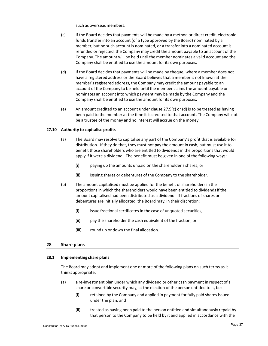such as overseas members.

- (c) If the Board decides that payments will be made by a method or direct credit, electronic funds transfer into an account (of a type approved by the Board) nominated by a member, but no such account is nominated, or a transfer into a nominated account is refunded or rejected, the Company may credit the amount payable to an account of the Company. The amount will be held until the member nominates a valid account and the Company shall be entitled to use the amount for its own purposes.
- (d) If the Board decides that payments will be made by cheque, where a member does not have a registered address or the Board believes that a member is not known at the member's registered address, the Company may credit the amount payable to an account of the Company to be held until the member claims the amount payable or nominates an account into which payment may be made by the Company and the Company shall be entitled to use the amount for its own purposes.
- (e) An amount credited to an account under clause 27.9(c) or (d) is to be treated as having been paid to the member at the time it is credited to that account. The Company will not be a trustee of the money and no interest will accrue on the money.

#### **27.10 Authority to capitalise profits**

- (a) The Board may resolve to capitalise any part of the Company's profit that is available for distribution. If they do that, they must not pay the amount in cash, but must use it to benefit those shareholders who are entitled to dividends in the proportions that would apply if it were a dividend. The benefit must be given in one of the following ways:
	- (i) paying up the amounts unpaid on the shareholder's shares; or
	- (ii) issuing shares or debentures of the Company to the shareholder.
- (b) The amount capitalised must be applied for the benefit of shareholders in the proportions in which the shareholders would have been entitled to dividends if the amount capitalised had been distributed as a dividend. If fractions of shares or debentures are initially allocated, the Board may, in their discretion:
	- (i) issue fractional certificates in the case of unquoted securities;
	- (ii) pay the shareholder the cash equivalent of the fraction; or
	- (iii) round up or down the final allocation.

# **28 Share plans**

# **28.1 Implementing share plans**

The Board may adopt and implement one or more of the following plans on such terms as it thinks appropriate.

- (a) a re‐investment plan under which any dividend or other cash payment in respect of a share or convertible security may, at the election of the person entitled to it, be:
	- (i) retained by the Company and applied in payment for fully paid shares issued under the plan; and
	- (ii) treated as having been paid to the person entitled and simultaneously repaid by that person to the Company to be held by it and applied in accordance with the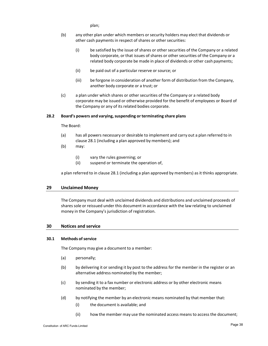plan;

- (b) any other plan under which members orsecurity holders may elect that dividends or other cash payments in respect of shares or other securities:
	- (i) be satisfied by the issue of shares or other securities of the Company or a related body corporate, or that issues of shares or other securities of the Company or a related body corporate be made in place of dividends or other cash payments;
	- (ii) be paid out of a particular reserve or source; or
	- (iii) be forgone in consideration of another form of distribution from the Company, another body corporate or a trust; or
- (c) a plan under which shares or other securities of the Company or a related body corporate may be issued or otherwise provided for the benefit of employees or Board of the Company or any of its related bodies corporate.

#### **28.2 Board's powers and varying,suspending or terminating share plans**

The Board:

- (a) has all powers necessary or desirable to implement and carry out a plan referred to in clause 28.1 (including a plan approved by members); and
- (b) may:
	- (i) vary the rules governing; or
	- (ii) suspend or terminate the operation of,

a plan referred to in clause 28.1 (including a plan approved by members) as it thinks appropriate.

# **29 Unclaimed Money**

The Company must deal with unclaimed dividends and distributions and unclaimed proceeds of shares sole or reissued under this document in accordance with the law relating to unclaimed money in the Company's jurisdiction of registration.

#### **30 Notices and service**

#### **30.1 Methods ofservice**

The Company may give a document to a member:

- (a) personally;
- (b) by delivering it or sending it by post to the address for the member in the register or an alternative address nominated by the member;
- (c) by sending it to a fax number or electronic address or by other electronic means nominated by the member;
- (d) by notifying the member by an electronic means nominated by that member that:
	- (i) the document is available; and
	- (ii) how the member may use the nominated access means to access the document;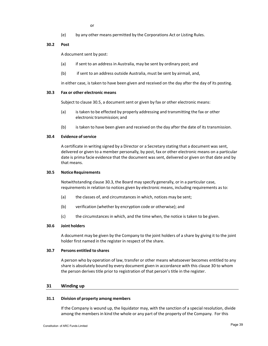(e) by any other means permitted by the Corporations Act or Listing Rules.

# **30.2 Post**

A document sent by post:

- (a) if sent to an address in Australia, may be sent by ordinary post; and
- (b) if sent to an address outside Australia, must be sent by airmail, and,

in either case, is taken to have been given and received on the day after the day of its posting.

# **30.3 Fax or other electronic means**

Subject to clause 30.5, a document sent or given by fax or other electronic means:

- (a) is taken to be effected by properly addressing and transmitting the fax or other electronic transmission; and
- (b) is taken to have been given and received on the day after the date of its transmission.

# **30.4 Evidence ofservice**

A certificate in writing signed by a Director or a Secretary stating that a document was sent, delivered or given to a member personally, by post, fax or other electronic means on a particular date is prima facie evidence that the document was sent, delivered or given on that date and by that means.

#### **30.5 NoticeRequirements**

Notwithstanding clause 30.3, the Board may specify generally, or in a particular case, requirements in relation to notices given by electronic means, including requirements as to:

- (a) the classes of, and circumstances in which, notices may be sent;
- (b) verification (whether by encryption code or otherwise); and
- (c) the circumstances in which, and the time when, the notice is taken to be given.

# **30.6 Joint holders**

A document may be given by the Company to the joint holders of a share by giving it to the joint holder first named in the register in respect of the share.

#### **30.7 Persons entitled to shares**

A person who by operation of law, transfer or other means whatsoever becomes entitled to any share is absolutely bound by every document given in accordance with this clause 30 to whom the person derives title prior to registration of that person's title in the register.

# **31 Winding up**

#### **31.1 Division of property among members**

If the Company is wound up, the liquidator may, with the sanction of a special resolution, divide among the members in kind the whole or any part of the property of the Company. For this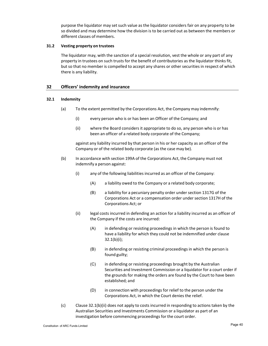purpose the liquidator may setsuch value as the liquidator considers fair on any property to be so divided and may determine how the division is to be carried out as between the members or different classes of members.

# **31.2 Vesting property on trustees**

The liquidator may, with the sanction of a special resolution, vest the whole or any part of any property in trustees on such trusts for the benefit of contributories as the liquidator thinks fit, but so that no member is compelled to accept any shares or other securities in respect of which there is any liability.

# **32 Officers' indemnity and insurance**

# **32.1 Indemnity**

- (a) To the extent permitted by the Corporations Act, the Company may indemnify:
	- (i) every person who is or has been an Officer of the Company; and
	- (ii) where the Board considers it appropriate to do so, any person who is or has been an officer of a related body corporate of the Company;

against any liability incurred by that person in his or her capacity as an officer of the Company or of the related body corporate (as the case may be).

- (b) In accordance with section 199A of the Corporations Act, the Company must not indemnify a person against:
	- (i) any of the following liabilities incurred as an officer of the Company:
		- (A) a liability owed to the Company or a related body corporate;
		- (B) a liability for a pecuniary penalty order under section 1317G of the Corporations Act or a compensation order undersection 1317H of the Corporations Act; or
	- (ii) legal costs incurred in defending an action for a liability incurred as an officer of the Company if the costs are incurred:
		- (A) in defending or resisting proceedings in which the person is found to have a liability for which they could not be indemnified under clause  $32.1(b)(i)$ ;
		- (B) in defending or resisting criminal proceedings in which the person is found guilty;
		- (C) in defending or resisting proceedings brought by the Australian Securities and Investment Commission or a liquidator for a court order if the grounds for making the orders are found by the Court to have been established; and
		- (D) in connection with proceedings for relief to the person under the Corporations Act, in which the Court denies the relief.
- (c) Clause 32.1(b)(ii) does not apply to costs incurred in responding to actions taken by the Australian Securities and Investments Commission or a liquidator as part of an investigation before commencing proceedings for the court order.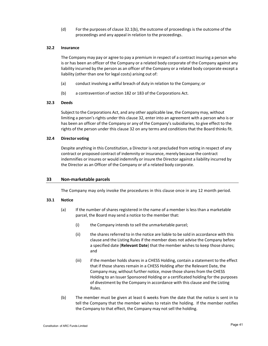(d) For the purposes of clause 32.1(b), the outcome of proceedings is the outcome of the proceedings and any appeal in relation to the proceedings.

#### **32.2 Insurance**

The Company may pay or agree to pay a premium in respect of a contract insuring a person who is or has been an officer of the Company or a related body corporate of the Company against any liability incurred by the person as an officer of the Company or a related body corporate except a liability (other than one for legal costs) arising out of:

- (a) conduct involving a wilful breach of duty in relation to the Company; or
- (b) a contravention of section 182 or 183 of the Corporations Act.

#### **32.3 Deeds**

Subject to the Corporations Act, and any other applicable law, the Company may, without limiting a person's rights under this clause 32, enter into an agreement with a person who is or has been an officer of the Company or any of the Company's subsidiaries, to give effect to the rights of the person under this clause 32 on any terms and conditions that the Board thinks fit.

#### **32.4 Director voting**

Despite anything in this Constitution, a Director is not precluded from voting in respect of any contract or proposed contract of indemnity or insurance, merely because the contract indemnifies or insures or would indemnify or insure the Director against a liability incurred by the Director as an Officer of the Company or of a related body corporate.

# **33 Non‐marketable parcels**

The Company may only invoke the procedures in this clause once in any 12 month period.

#### **33.1 Notice**

- (a) If the number of shares registered in the name of a member is less than a marketable parcel, the Board may send a notice to the member that:
	- (i) the Company intends to sell the unmarketable parcel;
	- (ii) the shares referred to in the notice are liable to be sold in accordance with this clause and the Listing Rules if the member does not advise the Company before a specified date (**Relevant Date**) that the member wishes to keep those shares; and
	- (iii) if the member holds shares in a CHESS Holding, contain a statement to the effect that if those shares remain in a CHESS Holding after the Relevant Date, the Company may, without further notice, move those shares from the CHESS Holding to an Issuer Sponsored Holding or a certificated holding for the purposes of divestment by the Company in accordance with this clause and the Listing Rules.
- (b) The member must be given at least 6 weeks from the date that the notice is sent in to tell the Company that the member wishes to retain the holding. If the member notifies the Company to that effect, the Company may not sell the holding.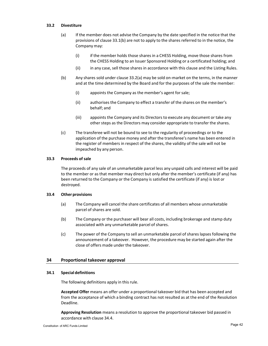#### **33.2 Divestiture**

- (a) If the member does not advise the Company by the date specified in the notice that the provisions of clause 33.1(b) are not to apply to the shares referred to in the notice, the Company may:
	- (i) if the member holds those shares in a CHESS Holding, move those shares from the CHESS Holding to an Issuer Sponsored Holding or a certificated holding; and
	- (ii) in any case, sell those shares in accordance with this clause and the Listing Rules.
- (b) Any shares sold under clause 33.2(a) may be sold on‐market on the terms, in the manner and at the time determined by the Board and for the purposes of the sale the member:
	- (i) appoints the Company as the member's agent forsale;
	- (ii) authorises the Company to effect a transfer of the shares on the member's behalf; and
	- (iii) appoints the Company and its Directors to execute any document or take any other steps as the Directors may consider appropriate to transfer the shares.
- (c) The transferee will not be bound to see to the regularity of proceedings or to the application of the purchase money and after the transferee's name has been entered in the register of members in respect of the shares, the validity of the sale will not be impeached by any person.

#### **33.3 Proceeds of sale**

The proceeds of any sale of an unmarketable parcel less any unpaid calls and interest will be paid to the member or as that member may direct but only after the member's certificate (if any) has been returned to the Company or the Company is satisfied the certificate (if any) is lost or destroyed.

#### **33.4 Other provisions**

- (a) The Company will cancel the share certificates of all members whose unmarketable parcel of shares are sold.
- (b) The Company or the purchaser will bear all costs, including brokerage and stamp duty associated with any unmarketable parcel of shares.
- (c) The power of the Company to sell an unmarketable parcel of shares lapses following the announcement of a takeover. However, the procedure may be started again after the close of offers made under the takeover.

# **34 Proportional takeover approval**

#### **34.1 Special definitions**

The following definitions apply in this rule.

**Accepted Offer** means an offer under a proportional takeover bid that has been accepted and from the acceptance of which a binding contract has not resulted as at the end of the Resolution Deadline.

**Approving Resolution** means a resolution to approve the proportional takeover bid passed in accordance with clause 34.4.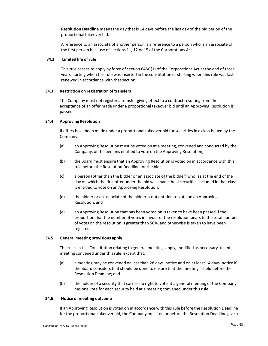**Resolution Deadline** means the day that is 14 days before the last day of the bid period of the proportional takeover bid.

A reference to an associate of another person is a reference to a person who is an associate of the first person because of sections 11, 12 or 15 of the Corporations Act.

#### **34.2 Limited life of rule**

This rule ceases to apply by force of section 648G(1) of the Corporations Act at the end of three years starting when this rule was inserted in the constitution or starting when this rule was last renewed in accordance with that section.

#### **34.3 Restriction on registration of transfers**

The Company must not register a transfer giving effect to a contract resulting from the acceptance of an offer made under a proportional takeover bid until an Approving Resolution is passed.

#### **34.4 Approving Resolution**

If offers have been made under a proportional takeover bid for securities in a class issued by the Company:

- (a) an Approving Resolution must be voted on at a meeting, convened and conducted by the Company, of the persons entitled to vote on the Approving Resolution;
- (b) the Board must ensure that an Approving Resolution is voted on in accordance with this rule before the Resolution Deadline for the bid;
- (c) a person (other than the bidder or an associate of the bidder) who, as at the end of the day on which the first offer under the bid was made, held securities included in that class is entitled to vote on an Approving Resolution;
- (d) the bidder or an associate of the bidder is not entitled to vote on an Approving Resolution; and
- (e) an Approving Resolution that has been voted on is taken to have been passed if the proportion that the number of votes in favour of the resolution bears to the total number of votes on the resolution is greater than 50%, and otherwise is taken to have been rejected.

#### **34.5 General meeting provisions apply**

The rules in this Constitution relating to general meetings apply, modified as necessary, to ant meeting convened under this rule, except that:

- (a) a meeting may be convened on less than 28 days' notice and on at least 14 days' notice if the Board considers that should be done to ensure that the meeting is held before the Resolution Deadline; and
- (b) the holder of a security that carries no right to vote at a general meeting of the Company has one vote for each security held at a meeting convened under this rule.

#### **34.6 Notice of meeting outcome**

If an Approving Resolution is voted on in accordance with this rule before the Resolution Deadline for the proportional takeover bid, the Company must, on or before the Resolution Deadline give a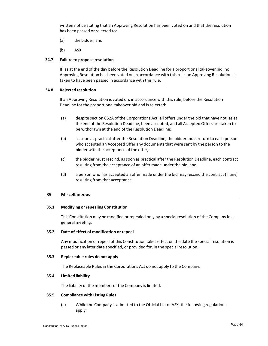written notice stating that an Approving Resolution has been voted on and that the resolution has been passed or rejected to:

- (a) the bidder; and
- (b) ASX.

#### **34.7 Failure to propose resolution**

If, as at the end of the day before the Resolution Deadline for a proportional takeover bid, no Approving Resolution has been voted on in accordance with this rule, an Approving Resolution is taken to have been passed in accordance with this rule.

#### **34.8 Rejected resolution**

If an Approving Resolution is voted on, in accordance with this rule, before the Resolution Deadline for the proportional takeover bid and is rejected:

- (a) despite section 652A of the Corporations Act, all offers under the bid that have not, as at the end of the Resolution Deadline, been accepted, and all Accepted Offers are taken to be withdrawn at the end of the Resolution Deadline;
- (b) as soon as practical after the Resolution Deadline, the bidder must return to each person who accepted an Accepted Offer any documents that were sent by the person to the bidder with the acceptance of the offer;
- (c) the bidder must rescind, as soon as practical after the Resolution Deadline, each contract resulting from the acceptance of an offer made under the bid; and
- (d) a person who has accepted an offer made under the bid may rescind the contract (if any) resulting from that acceptance.

# **35 Miscellaneous**

#### **35.1 Modifying or repealing Constitution**

This Constitution may be modified or repealed only by a special resolution of the Company in a general meeting.

#### **35.2 Date of effect of modification or repeal**

Any modification or repeal of this Constitution takes effect on the date the special resolution is passed or any later date specified, or provided for, in the special resolution.

#### **35.3 Replaceable rules do not apply**

The Replaceable Rules in the Corporations Act do not apply to the Company.

# **35.4 Limited liability**

The liability of the members of the Company is limited.

#### **35.5 Compliance with Listing Rules**

(a) While the Company is admitted to the Official List of ASX, the following regulations apply: